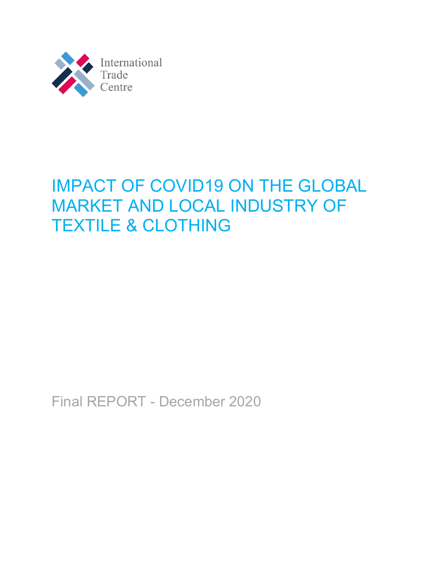

# IMPACT OF COVID19 ON THE GLOBAL MARKET AND LOCAL INDUSTRY OF TEXTILE & CLOTHING

Final REPORT - December 2020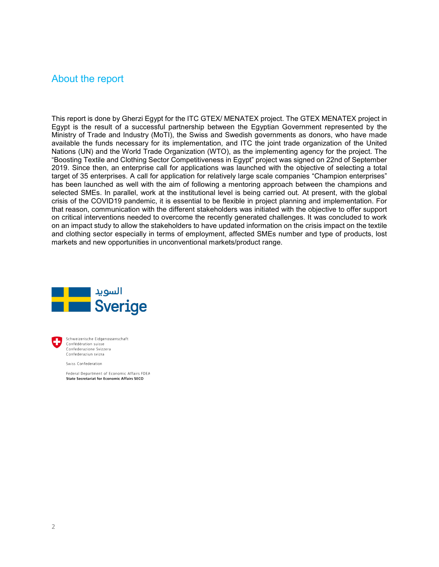### <span id="page-1-0"></span>About the report

This report is done by Gherzi Egypt for the ITC GTEX/ MENATEX project. The GTEX MENATEX project in Egypt is the result of a successful partnership between the Egyptian Government represented by the Ministry of Trade and Industry (MoTI), the Swiss and Swedish governments as donors, who have made available the funds necessary for its implementation, and ITC the joint trade organization of the United Nations (UN) and the World Trade Organization (WTO), as the implementing agency for the project. The "Boosting Textile and Clothing Sector Competitiveness in Egypt" project was signed on 22nd of September 2019. Since then, an enterprise call for applications was launched with the objective of selecting a total target of 35 enterprises. A call for application for relatively large scale companies "Champion enterprises" has been launched as well with the aim of following a mentoring approach between the champions and selected SMEs. In parallel, work at the institutional level is being carried out. At present, with the global crisis of the COVID19 pandemic, it is essential to be flexible in project planning and implementation. For that reason, communication with the different stakeholders was initiated with the objective to offer support on critical interventions needed to overcome the recently generated challenges. It was concluded to work on an impact study to allow the stakeholders to have updated information on the crisis impact on the textile and clothing sector especially in terms of employment, affected SMEs number and type of products, lost markets and new opportunities in unconventional markets/product range.





Schweizerische Eidgenossenschaft Confédération suisse Confederazione Svizzera Confederaziun svizra

Swiss Confederation

Federal Department of Economic Affairs FDEA **State Secretariat for Economic Affairs SECO**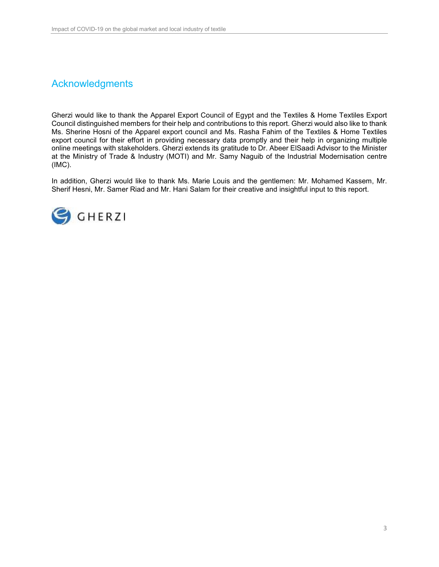## <span id="page-2-0"></span>Acknowledgments

Gherzi would like to thank the Apparel Export Council of Egypt and the Textiles & Home Textiles Export Council distinguished members for their help and contributions to this report. Gherzi would also like to thank Ms. Sherine Hosni of the Apparel export council and Ms. Rasha Fahim of the Textiles & Home Textiles export council for their effort in providing necessary data promptly and their help in organizing multiple online meetings with stakeholders. Gherzi extends its gratitude to Dr. Abeer ElSaadi Advisor to the Minister at the Ministry of Trade & Industry (MOTI) and Mr. Samy Naguib of the Industrial Modernisation centre (IMC).

In addition, Gherzi would like to thank Ms. Marie Louis and the gentlemen: Mr. Mohamed Kassem, Mr. Sherif Hesni, Mr. Samer Riad and Mr. Hani Salam for their creative and insightful input to this report.

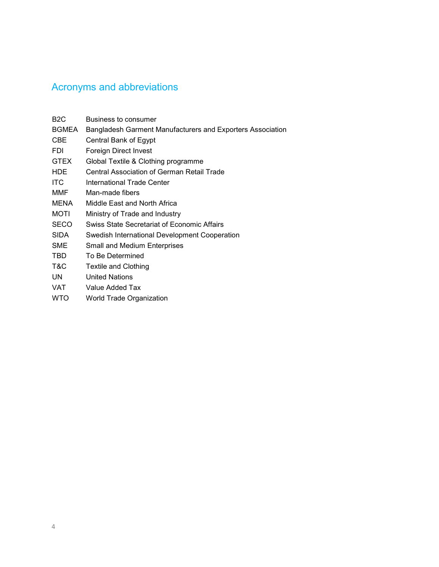# <span id="page-3-0"></span>Acronyms and abbreviations

| B <sub>2</sub> C | Business to consumer                                       |
|------------------|------------------------------------------------------------|
| BGMEA            | Bangladesh Garment Manufacturers and Exporters Association |
| CBE              | Central Bank of Egypt                                      |
| FDI.             | Foreign Direct Invest                                      |
| <b>GTEX</b>      | Global Textile & Clothing programme                        |
| <b>HDE</b>       | Central Association of German Retail Trade                 |
| ITC.             | International Trade Center                                 |
| MMF              | Man-made fibers                                            |
| <b>MENA</b>      | Middle East and North Africa                               |
| MOTI             | Ministry of Trade and Industry                             |
| <b>SECO</b>      | <b>Swiss State Secretariat of Economic Affairs</b>         |
| <b>SIDA</b>      | Swedish International Development Cooperation              |
| <b>SME</b>       | <b>Small and Medium Enterprises</b>                        |
| <b>TBD</b>       | To Be Determined                                           |
| T&C              | Textile and Clothing                                       |
| UN.              | <b>United Nations</b>                                      |
| VAT              | Value Added Tax                                            |
| <b>WTO</b>       | World Trade Organization                                   |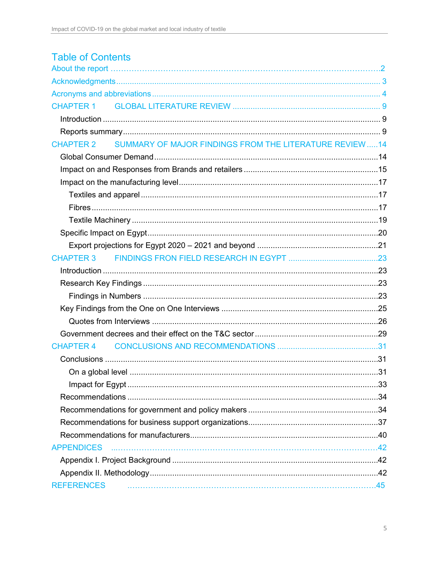| <b>Table of Contents</b>                                                     |  |
|------------------------------------------------------------------------------|--|
|                                                                              |  |
|                                                                              |  |
| <b>CHAPTER 1</b>                                                             |  |
|                                                                              |  |
|                                                                              |  |
| SUMMARY OF MAJOR FINDINGS FROM THE LITERATURE REVIEW  14<br><b>CHAPTER 2</b> |  |
|                                                                              |  |
|                                                                              |  |
|                                                                              |  |
|                                                                              |  |
|                                                                              |  |
|                                                                              |  |
|                                                                              |  |
|                                                                              |  |
|                                                                              |  |
|                                                                              |  |
|                                                                              |  |
|                                                                              |  |
|                                                                              |  |
|                                                                              |  |
|                                                                              |  |
|                                                                              |  |
| <b>CHAPTER 4</b>                                                             |  |
|                                                                              |  |
|                                                                              |  |
|                                                                              |  |
|                                                                              |  |
|                                                                              |  |
|                                                                              |  |
|                                                                              |  |
| <b>APPENDICES</b>                                                            |  |
|                                                                              |  |
|                                                                              |  |
| <b>REFERENCES</b>                                                            |  |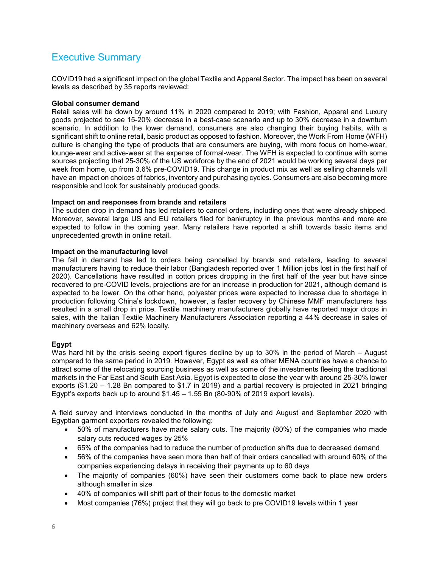### Executive Summary

COVID19 had a significant impact on the global Textile and Apparel Sector. The impact has been on several levels as described by 35 reports reviewed:

### **Global consumer demand**

Retail sales will be down by around 11% in 2020 compared to 2019; with Fashion, Apparel and Luxury goods projected to see 15-20% decrease in a best-case scenario and up to 30% decrease in a downturn scenario. In addition to the lower demand, consumers are also changing their buying habits, with a significant shift to online retail, basic product as opposed to fashion. Moreover, the Work From Home (WFH) culture is changing the type of products that are consumers are buying, with more focus on home-wear, lounge-wear and active-wear at the expense of formal-wear. The WFH is expected to continue with some sources projecting that 25-30% of the US workforce by the end of 2021 would be working several days per week from home, up from 3.6% pre-COVID19. This change in product mix as well as selling channels will have an impact on choices of fabrics, inventory and purchasing cycles. Consumers are also becoming more responsible and look for sustainably produced goods.

### **Impact on and responses from brands and retailers**

The sudden drop in demand has led retailers to cancel orders, including ones that were already shipped. Moreover, several large US and EU retailers filed for bankruptcy in the previous months and more are expected to follow in the coming year. Many retailers have reported a shift towards basic items and unprecedented growth in online retail.

### **Impact on the manufacturing level**

The fall in demand has led to orders being cancelled by brands and retailers, leading to several manufacturers having to reduce their labor (Bangladesh reported over 1 Million jobs lost in the first half of 2020). Cancellations have resulted in cotton prices dropping in the first half of the year but have since recovered to pre-COVID levels, projections are for an increase in production for 2021, although demand is expected to be lower. On the other hand, polyester prices were expected to increase due to shortage in production following China's lockdown, however, a faster recovery by Chinese MMF manufacturers has resulted in a small drop in price. Textile machinery manufacturers globally have reported major drops in sales, with the Italian Textile Machinery Manufacturers Association reporting a 44% decrease in sales of machinery overseas and 62% locally.

### **Egypt**

Was hard hit by the crisis seeing export figures decline by up to 30% in the period of March – August compared to the same period in 2019. However, Egypt as well as other MENA countries have a chance to attract some of the relocating sourcing business as well as some of the investments fleeing the traditional markets in the Far East and South East Asia. Egypt is expected to close the year with around 25-30% lower exports (\$1.20 – 1.28 Bn compared to \$1.7 in 2019) and a partial recovery is projected in 2021 bringing Egypt's exports back up to around  $$1.45 - 1.55$  Bn (80-90% of 2019 export levels).

A field survey and interviews conducted in the months of July and August and September 2020 with Egyptian garment exporters revealed the following:

- 50% of manufacturers have made salary cuts. The majority (80%) of the companies who made salary cuts reduced wages by 25%
- 65% of the companies had to reduce the number of production shifts due to decreased demand
- 56% of the companies have seen more than half of their orders cancelled with around 60% of the companies experiencing delays in receiving their payments up to 60 days
- The majority of companies (60%) have seen their customers come back to place new orders although smaller in size
- 40% of companies will shift part of their focus to the domestic market
- Most companies (76%) project that they will go back to pre COVID19 levels within 1 year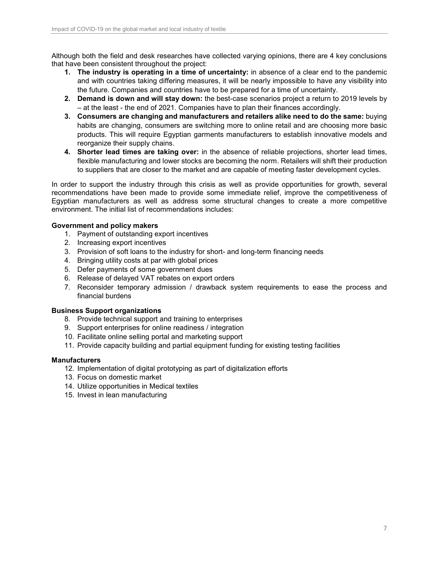Although both the field and desk researches have collected varying opinions, there are 4 key conclusions that have been consistent throughout the project:

- **1. The industry is operating in a time of uncertainty:** in absence of a clear end to the pandemic and with countries taking differing measures, it will be nearly impossible to have any visibility into the future. Companies and countries have to be prepared for a time of uncertainty.
- **2. Demand is down and will stay down:** the best-case scenarios project a return to 2019 levels by – at the least - the end of 2021. Companies have to plan their finances accordingly.
- **3. Consumers are changing and manufacturers and retailers alike need to do the same:** buying habits are changing, consumers are switching more to online retail and are choosing more basic products. This will require Egyptian garments manufacturers to establish innovative models and reorganize their supply chains.
- **4. Shorter lead times are taking over:** in the absence of reliable projections, shorter lead times, flexible manufacturing and lower stocks are becoming the norm. Retailers will shift their production to suppliers that are closer to the market and are capable of meeting faster development cycles.

In order to support the industry through this crisis as well as provide opportunities for growth, several recommendations have been made to provide some immediate relief, improve the competitiveness of Egyptian manufacturers as well as address some structural changes to create a more competitive environment. The initial list of recommendations includes:

### **Government and policy makers**

- 1. Payment of outstanding export incentives
- 2. Increasing export incentives
- 3. Provision of soft loans to the industry for short- and long-term financing needs
- 4. Bringing utility costs at par with global prices
- 5. Defer payments of some government dues
- 6. Release of delayed VAT rebates on export orders
- 7. Reconsider temporary admission / drawback system requirements to ease the process and financial burdens

#### **Business Support organizations**

- 8. Provide technical support and training to enterprises
- 9. Support enterprises for online readiness / integration
- 10. Facilitate online selling portal and marketing support
- 11. Provide capacity building and partial equipment funding for existing testing facilities

#### **Manufacturers**

- 12. Implementation of digital prototyping as part of digitalization efforts
- 13. Focus on domestic market
- 14. Utilize opportunities in Medical textiles
- 15. Invest in lean manufacturing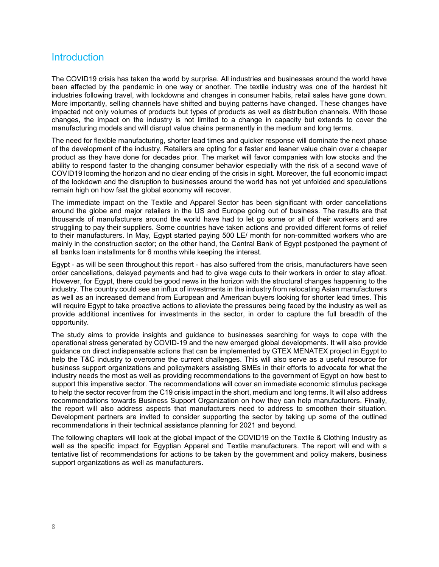### **Introduction**

The COVID19 crisis has taken the world by surprise. All industries and businesses around the world have been affected by the pandemic in one way or another. The textile industry was one of the hardest hit industries following travel, with lockdowns and changes in consumer habits, retail sales have gone down. More importantly, selling channels have shifted and buying patterns have changed. These changes have impacted not only volumes of products but types of products as well as distribution channels. With those changes, the impact on the industry is not limited to a change in capacity but extends to cover the manufacturing models and will disrupt value chains permanently in the medium and long terms.

The need for flexible manufacturing, shorter lead times and quicker response will dominate the next phase of the development of the industry. Retailers are opting for a faster and leaner value chain over a cheaper product as they have done for decades prior. The market will favor companies with low stocks and the ability to respond faster to the changing consumer behavior especially with the risk of a second wave of COVID19 looming the horizon and no clear ending of the crisis in sight. Moreover, the full economic impact of the lockdown and the disruption to businesses around the world has not yet unfolded and speculations remain high on how fast the global economy will recover.

The immediate impact on the Textile and Apparel Sector has been significant with order cancellations around the globe and major retailers in the US and Europe going out of business. The results are that thousands of manufacturers around the world have had to let go some or all of their workers and are struggling to pay their suppliers. Some countries have taken actions and provided different forms of relief to their manufacturers. In May, Egypt started paying 500 LE/ month for non-committed workers who are mainly in the construction sector; on the other hand, the Central Bank of Egypt postponed the payment of all banks loan installments for 6 months while keeping the interest.

Egypt - as will be seen throughout this report - has also suffered from the crisis, manufacturers have seen order cancellations, delayed payments and had to give wage cuts to their workers in order to stay afloat. However, for Egypt, there could be good news in the horizon with the structural changes happening to the industry. The country could see an influx of investments in the industry from relocating Asian manufacturers as well as an increased demand from European and American buyers looking for shorter lead times. This will require Egypt to take proactive actions to alleviate the pressures being faced by the industry as well as provide additional incentives for investments in the sector, in order to capture the full breadth of the opportunity.

The study aims to provide insights and guidance to businesses searching for ways to cope with the operational stress generated by COVID-19 and the new emerged global developments. It will also provide guidance on direct indispensable actions that can be implemented by GTEX MENATEX project in Egypt to help the T&C industry to overcome the current challenges. This will also serve as a useful resource for business support organizations and policymakers assisting SMEs in their efforts to advocate for what the industry needs the most as well as providing recommendations to the government of Egypt on how best to support this imperative sector. The recommendations will cover an immediate economic stimulus package to help the sector recover from the C19 crisis impact in the short, medium and long terms. It will also address recommendations towards Business Support Organization on how they can help manufacturers. Finally, the report will also address aspects that manufacturers need to address to smoothen their situation. Development partners are invited to consider supporting the sector by taking up some of the outlined recommendations in their technical assistance planning for 2021 and beyond.

The following chapters will look at the global impact of the COVID19 on the Textile & Clothing Industry as well as the specific impact for Egyptian Apparel and Textile manufacturers. The report will end with a tentative list of recommendations for actions to be taken by the government and policy makers, business support organizations as well as manufacturers.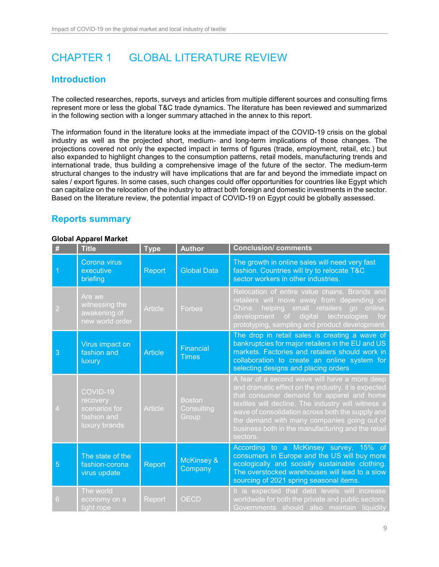# <span id="page-8-0"></span>CHAPTER 1 GLOBAL LITERATURE REVIEW

### <span id="page-8-1"></span>**Introduction**

The collected researches, reports, surveys and articles from multiple different sources and consulting firms represent more or less the global T&C trade dynamics. The literature has been reviewed and summarized in the following section with a longer summary attached in the annex to this report.

The information found in the literature looks at the immediate impact of the COVID-19 crisis on the global industry as well as the projected short, medium- and long-term implications of those changes. The projections covered not only the expected impact in terms of figures (trade, employment, retail, etc.) but also expanded to highlight changes to the consumption patterns, retail models, manufacturing trends and international trade, thus building a comprehensive image of the future of the sector. The medium-term structural changes to the industry will have implications that are far and beyond the immediate impact on sales / export figures. In some cases, such changes could offer opportunities for countries like Egypt which can capitalize on the relocation of the industry to attract both foreign and domestic investments in the sector. Based on the literature review, the potential impact of COVID-19 on Egypt could be globally assessed.

### <span id="page-8-2"></span>**Reports summary**

### **Global Apparel Market**

| #              | <b>Title</b>                                                          | <b>Type</b>    | <b>Author</b>                        | <b>Conclusion/ comments</b>                                                                                                                                                                                                                                                                                                                                                 |
|----------------|-----------------------------------------------------------------------|----------------|--------------------------------------|-----------------------------------------------------------------------------------------------------------------------------------------------------------------------------------------------------------------------------------------------------------------------------------------------------------------------------------------------------------------------------|
|                | Corona virus<br>executive<br>briefing                                 | Report         | <b>Global Data</b>                   | The growth in online sales will need very fast<br>fashion. Countries will try to relocate T&C<br>sector workers in other industries.                                                                                                                                                                                                                                        |
| $\overline{2}$ | Are we<br>witnessing the<br>awakening of<br>new world order           | <b>Article</b> | <b>Forbes</b>                        | Relocation of entire value chains. Brands and<br>retailers will move away from depending on<br>helping small retailers go online.<br>China.<br>development of digital technologies<br>for<br>prototyping, sampling and product development.                                                                                                                                 |
| 3              | Virus impact on<br>fashion and<br>luxury                              | <b>Article</b> | <b>Financial</b><br><b>Times</b>     | The drop in retail sales is creating a wave of<br>bankruptcies for major retailers in the EU and US<br>markets. Factories and retailers should work in<br>collaboration to create an online system for<br>selecting designs and placing orders                                                                                                                              |
| $\overline{4}$ | COVID-19<br>recovery<br>scenarios for<br>fashion and<br>luxury brands | <b>Article</b> | <b>Boston</b><br>Consulting<br>Group | A fear of a second wave will have a more deep<br>and dramatic effect on the industry. it is expected<br>that consumer demand for apparel and home<br>textiles will decline. The industry will witness a<br>wave of consolidation across both the supply and<br>the demand with many companies going out of<br>business both in the manufacturing and the retail<br>sectors. |
| 5              | The state of the<br>fashion-corona<br>virus update                    | Report         | <b>McKinsey &amp;</b><br>Company     | According to a McKinsey survey, 15% of<br>consumers in Europe and the US will buy more<br>ecologically and socially sustainable clothing.<br>The overstocked warehouses will lead to a slow<br>sourcing of 2021 spring seasonal items.                                                                                                                                      |
| 6              | The world<br>economy on a<br>tight rope                               | Report         | <b>OECD</b>                          | It is expected that debt levels will increase<br>worldwide for both the private and public sectors.<br>Governments should also maintain liquidity                                                                                                                                                                                                                           |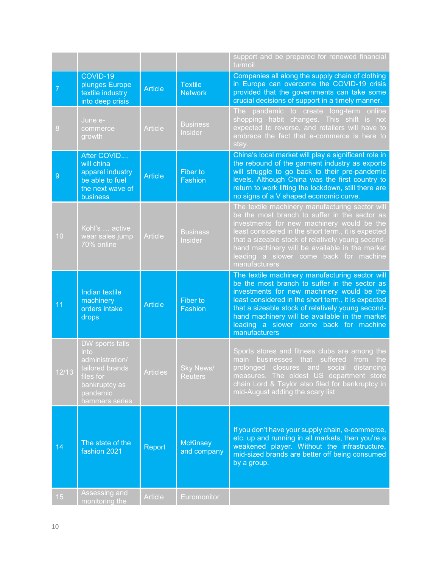|       |                                                                                                                           |                 |                                    | support and be prepared for renewed financial<br>turmoil                                                                                                                                                                                                                                                                                                                |
|-------|---------------------------------------------------------------------------------------------------------------------------|-----------------|------------------------------------|-------------------------------------------------------------------------------------------------------------------------------------------------------------------------------------------------------------------------------------------------------------------------------------------------------------------------------------------------------------------------|
| 7     | COVID-19<br>plunges Europe<br>textile industry<br>into deep crisis                                                        | <b>Article</b>  | <b>Textile</b><br><b>Network</b>   | Companies all along the supply chain of clothing<br>in Europe can overcome the COVID-19 crisis<br>provided that the governments can take some<br>crucial decisions of support in a timely manner.                                                                                                                                                                       |
| 8     | June e-<br>commerce<br>growth                                                                                             | <b>Article</b>  | <b>Business</b><br>Insider         | The pandemic to create long-term<br>online<br>shopping habit changes. This shift is not<br>expected to reverse, and retailers will have to<br>embrace the fact that e-commerce is here to<br>stay.                                                                                                                                                                      |
| 9     | After COVID,<br>will china<br>apparel industry<br>be able to fuel<br>the next wave of<br>business                         | <b>Article</b>  | <b>Fiber to</b><br>Fashion         | China's local market will play a significant role in<br>the rebound of the garment industry as exports<br>will struggle to go back to their pre-pandemic<br>levels. Although China was the first country to<br>return to work lifting the lockdown, still there are<br>no signs of a V shaped economic curve.                                                           |
| 10    | Kohl's  active<br>wear sales jump<br>70% online                                                                           | <b>Article</b>  | <b>Business</b><br>Insider         | The textile machinery manufacturing sector will<br>be the most branch to suffer in the sector as<br>investments for new machinery would be the<br>least considered in the short term., it is expected<br>that a sizeable stock of relatively young second-<br>hand machinery will be available in the market<br>leading a slower come back for machine<br>manufacturers |
| 11    | Indian textile<br>machinery<br>orders intake<br>drops                                                                     | <b>Article</b>  | Fiber to<br>Fashion                | The textile machinery manufacturing sector will<br>be the most branch to suffer in the sector as<br>investments for new machinery would be the<br>least considered in the short term., it is expected<br>that a sizeable stock of relatively young second-<br>hand machinery will be available in the market<br>leading a slower come back for machine<br>manufacturers |
| 12/13 | DW sports falls<br>into<br>administration/<br>tailored brands<br>files for<br>bankruptcy as<br>pandemic<br>hammers series | <b>Articles</b> | <b>Sky News/</b><br><b>Reuters</b> | Sports stores and fitness clubs are among the<br>businesses that suffered<br>the<br>from<br>main<br>prolonged closures and social<br>distancing<br>measures. The oldest US department store<br>chain Lord & Taylor also filed for bankruptcy in<br>mid-August adding the scary list                                                                                     |
| 14    | The state of the<br>fashion 2021                                                                                          | Report          | <b>McKinsey</b><br>and company     | If you don't have your supply chain, e-commerce,<br>etc. up and running in all markets, then you're a<br>weakened player. Without the infrastructure,<br>mid-sized brands are better off being consumed<br>by a group.                                                                                                                                                  |
| 15    | Assessing and<br>monitoring the                                                                                           | <b>Article</b>  | Euromonitor                        |                                                                                                                                                                                                                                                                                                                                                                         |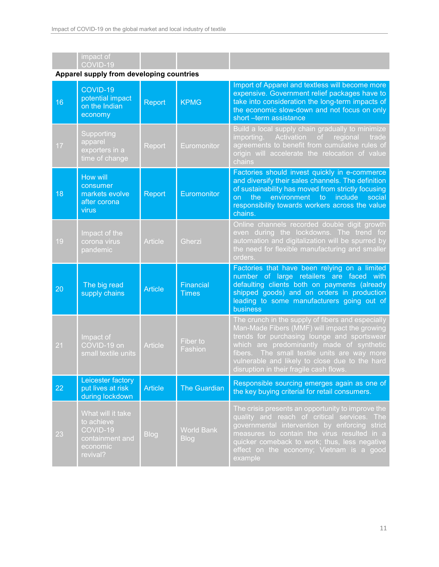|    | impact of<br>COVID-19<br>Apparel supply from developing countries                        |                |                                  |                                                                                                                                                                                                                                                                                                                                                |
|----|------------------------------------------------------------------------------------------|----------------|----------------------------------|------------------------------------------------------------------------------------------------------------------------------------------------------------------------------------------------------------------------------------------------------------------------------------------------------------------------------------------------|
|    | COVID-19                                                                                 |                |                                  | Import of Apparel and textless will become more                                                                                                                                                                                                                                                                                                |
| 16 | potential impact<br>on the Indian<br>economy                                             | Report         | <b>KPMG</b>                      | expensive. Government relief packages have to<br>take into consideration the long-term impacts of<br>the economic slow-down and not focus on only<br>short -term assistance                                                                                                                                                                    |
| 17 | Supporting<br>apparel<br>exporters in a<br>time of change                                | Report         | Euromonitor                      | Build a local supply chain gradually to minimize<br>importing. Activation of regional<br>trade<br>agreements to benefit from cumulative rules of<br>origin will accelerate the relocation of value<br>chains                                                                                                                                   |
| 18 | <b>How will</b><br>consumer<br>markets evolve<br>after corona<br>virus                   | Report         | Euromonitor                      | Factories should invest quickly in e-commerce<br>and diversify their sales channels. The definition<br>of sustainability has moved from strictly focusing<br>environment to include<br>the<br>on<br>social<br>responsibility towards workers across the value<br>chains.                                                                       |
| 19 | Impact of the<br>corona virus<br>pandemic                                                | <b>Article</b> | Gherzi                           | Online channels recorded double digit growth<br>even during the lockdowns. The trend for<br>automation and digitalization will be spurred by<br>the need for flexible manufacturing and smaller<br>orders.                                                                                                                                     |
| 20 | The big read<br>supply chains                                                            | <b>Article</b> | <b>Financial</b><br><b>Times</b> | Factories that have been relying on a limited<br>number of large retailers are faced with<br>defaulting clients both on payments (already<br>shipped goods) and on orders in production<br>leading to some manufacturers going out of<br>business                                                                                              |
| 21 | Impact of<br>COVID-19 on<br>small textile units                                          | <b>Article</b> | Fiber to<br>Fashion              | The crunch in the supply of fibers and especially<br>Man-Made Fibers (MMF) will impact the growing<br>trends for purchasing lounge and sportswear<br>which are predominantly made of synthetic<br>The small textile units are way more<br>fibers.<br>vulnerable and likely to close due to the hard<br>disruption in their fragile cash flows. |
| 22 | Leicester factory<br>put lives at risk<br>during lockdown                                | <b>Article</b> | <b>The Guardian</b>              | Responsible sourcing emerges again as one of<br>the key buying criterial for retail consumers.                                                                                                                                                                                                                                                 |
| 23 | What will it take<br>to achieve<br>$COVID-19$<br>containment and<br>economic<br>revival? | <b>Blog</b>    | <b>World Bank</b><br><b>Blog</b> | The crisis presents an opportunity to improve the<br>quality and reach of critical services. The<br>governmental intervention by enforcing<br>strict<br>measures to contain the virus resulted in a<br>quicker comeback to work; thus, less negative<br>effect on the economy; Vietnam is a good<br>omple                                      |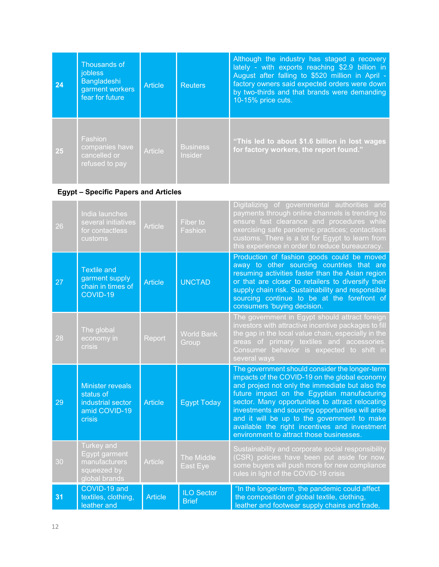| 24 | Thousands of<br><i>jobless</i><br>Bangladeshi<br>garment workers<br>fear for future | Article        | <b>Reuters</b>                    | Although the industry has staged a recovery<br>lately - with exports reaching \$2.9 billion in<br>August after falling to \$520 million in April -<br>factory owners said expected orders were down<br>by two-thirds and that brands were demanding<br>10-15% price cuts. |
|----|-------------------------------------------------------------------------------------|----------------|-----------------------------------|---------------------------------------------------------------------------------------------------------------------------------------------------------------------------------------------------------------------------------------------------------------------------|
| 25 | Fashion<br>companies have<br>cancelled or<br>refused to pay                         | <b>Article</b> | <b>Business</b><br><b>Insider</b> | "This led to about \$1.6 billion in lost wages<br>for factory workers, the report found."                                                                                                                                                                                 |

### **Egypt – Specific Papers and Articles**

| 26 | India launches<br>several initiatives<br>for contactless<br>customs                  | <b>Article</b> | Fiber to<br>Fashion               | Digitalizing of governmental authorities and<br>payments through online channels is trending to<br>ensure fast clearance and procedures while<br>exercising safe pandemic practices; contactless<br>customs. There is a lot for Egypt to learn from<br>this experience in order to reduce bureaucracy.                                                                                                                                                 |
|----|--------------------------------------------------------------------------------------|----------------|-----------------------------------|--------------------------------------------------------------------------------------------------------------------------------------------------------------------------------------------------------------------------------------------------------------------------------------------------------------------------------------------------------------------------------------------------------------------------------------------------------|
| 27 | <b>Textile and</b><br>garment supply<br>chain in times of<br>COVID-19                | <b>Article</b> | <b>UNCTAD</b>                     | Production of fashion goods could be moved<br>away to other sourcing countries that are<br>resuming activities faster than the Asian region<br>or that are closer to retailers to diversify their<br>supply chain risk. Sustainability and responsible<br>sourcing continue to be at the forefront of<br>consumers 'buying decision.                                                                                                                   |
| 28 | The global<br>economy in<br><b>crisis</b>                                            | Report         | <b>World Bank</b><br>Group        | The government in Egypt should attract foreign<br>investors with attractive incentive packages to fill<br>the gap in the local value chain, especially in the<br>areas of primary textiles and accessories.<br>Consumer behavior is expected to shift in<br>several ways                                                                                                                                                                               |
| 29 | <b>Minister reveals</b><br>status of<br>industrial sector<br>amid COVID-19<br>crisis | <b>Article</b> | <b>Egypt Today</b>                | The government should consider the longer-term<br>impacts of the COVID-19 on the global economy<br>and project not only the immediate but also the<br>future impact on the Egyptian manufacturing<br>sector. Many opportunities to attract relocating<br>investments and sourcing opportunities will arise<br>and it will be up to the government to make<br>available the right incentives and investment<br>environment to attract those businesses. |
| 30 | <b>Turkey</b> and<br>Egypt garment<br>manufacturers<br>squeezed by<br>global brands  | <b>Article</b> | The Middle<br>East Eye            | Sustainability and corporate social responsibility<br>(CSR) policies have been put aside for now.<br>some buyers will push more for new compliance<br>rules in light of the COVID-19 crisis                                                                                                                                                                                                                                                            |
| 31 | COVID-19 and<br>textiles, clothing,<br>leather and                                   | <b>Article</b> | <b>ILO Sector</b><br><b>Brief</b> | "In the longer-term, the pandemic could affect<br>the composition of global textile, clothing,<br>leather and footwear supply chains and trade,                                                                                                                                                                                                                                                                                                        |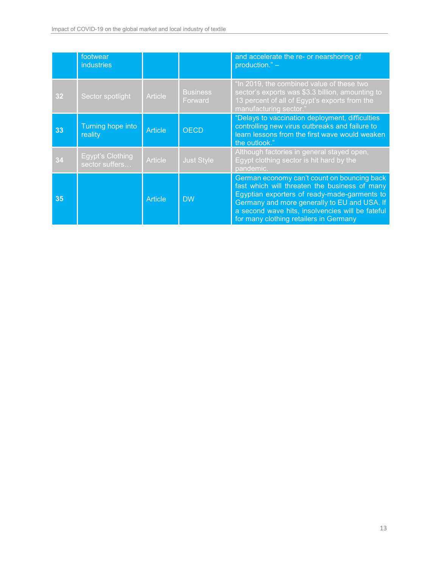|    | footwear<br>industries             |                |                            | and accelerate the re- or nearshoring of<br>production." $-$                                                                                                                                                                                                                               |
|----|------------------------------------|----------------|----------------------------|--------------------------------------------------------------------------------------------------------------------------------------------------------------------------------------------------------------------------------------------------------------------------------------------|
| 32 | Sector spotlight                   | <b>Article</b> | <b>Business</b><br>Forward | "In 2019, the combined value of these two<br>sector's exports was \$3.3 billion, amounting to<br>13 percent of all of Egypt's exports from the<br>manufacturing sector."                                                                                                                   |
| 33 | Turning hope into<br>reality       | <b>Article</b> | <b>OECD</b>                | "Delays to vaccination deployment, difficulties<br>controlling new virus outbreaks and failure to<br>learn lessons from the first wave would weaken<br>the outlook."                                                                                                                       |
| 34 | Egypt's Clothing<br>sector suffers | <b>Article</b> | <b>Just Style</b>          | Although factories in general stayed open,<br>Egypt clothing sector is hit hard by the<br>pandemic.                                                                                                                                                                                        |
| 35 |                                    | <b>Article</b> | <b>DW</b>                  | German economy can't count on bouncing back<br>fast which will threaten the business of many<br>Egyptian exporters of ready-made-garments to<br>Germany and more generally to EU and USA. If<br>a second wave hits, insolvencies will be fateful<br>for many clothing retailers in Germany |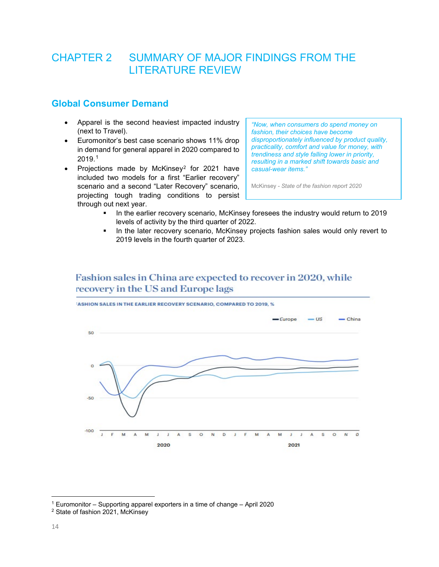# <span id="page-13-0"></span>CHAPTER 2 SUMMARY OF MAJOR FINDINGS FROM THE LITERATURE REVIEW

### <span id="page-13-1"></span>**Global Consumer Demand**

- Apparel is the second heaviest impacted industry (next to Travel).
- Euromonitor's best case scenario shows 11% drop in demand for general apparel in 2020 compared to 2019.[1](#page-13-2)
- Projections made by McKinsey[2](#page-13-3) for 2021 have included two models for a first "Earlier recovery" scenario and a second "Later Recovery" scenario, projecting tough trading conditions to persist through out next year.

*"Now, when consumers do spend money on fashion, their choices have become disproportionately influenced by product quality, practicality, comfort and value for money, with trendiness and style falling lower in priority, resulting in a marked shift towards basic and casual-wear items."*

McKinsey - *State of the fashion report 2020*

- In the earlier recovery scenario, McKinsey foresees the industry would return to 2019 levels of activity by the third quarter of 2022.
- **IF** In the later recovery scenario, McKinsey projects fashion sales would only revert to 2019 levels in the fourth quarter of 2023.

### Fashion sales in China are expected to recover in 2020, while recovery in the US and Europe lags



<span id="page-13-2"></span><sup>1</sup> Euromonitor – Supporting apparel exporters in a time of change – April 2020

<span id="page-13-3"></span><sup>2</sup> State of fashion 2021, McKinsey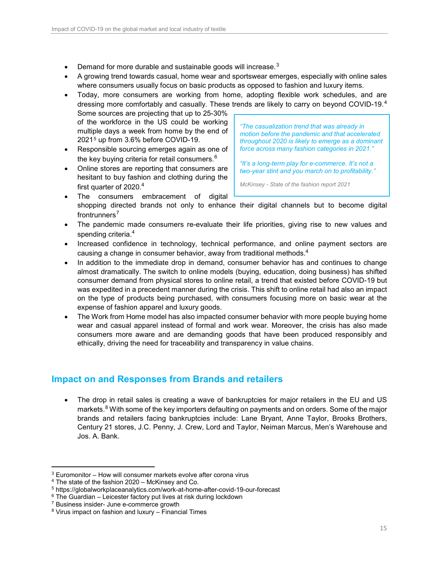- Demand for more durable and sustainable goods will increase. $3$
- A growing trend towards casual, home wear and sportswear emerges, especially with online sales where consumers usually focus on basic products as opposed to fashion and luxury items.
- Today, more consumers are working from home, adopting flexible work schedules, and are dressing more comfortably and casually. These trends are likely to carry on beyond COVID-19. $^{\rm 4}$  $^{\rm 4}$  $^{\rm 4}$ Some sources are projecting that up to 25-30% of the workforce in the US could be working multiple days a week from home by the end of 2021[5](#page-14-4) up from 3.6% before COVID-19. *"The casualization trend that was already in motion before the pandemic and that accelerated*
- Responsible sourcing emerges again as one of the key buying criteria for retail consumers. $6$
- Online stores are reporting that consumers are hesitant to buy fashion and clothing during the first quarter of  $2020.<sup>4</sup>$  $2020.<sup>4</sup>$  $2020.<sup>4</sup>$
- <span id="page-14-1"></span>*throughout 2020 is likely to emerge as a dominant force across many fashion categories in 2021."*

*"It's a long-term play for e-commerce. It's not a two-year stint and you march on to profitability."*

- *McKinsey - State of the fashion report 2021*
- The consumers embracement of digital shopping directed brands not only to enhance their digital channels but to become digital frontrunners $<sup>7</sup>$  $<sup>7</sup>$  $<sup>7</sup>$ </sup>
- The pandemic made consumers re-evaluate their life priorities, giving rise to new values and spending criteria.<sup>[4](#page-14-1)</sup>
- Increased confidence in technology, technical performance, and online payment sectors are causing a change in consumer behavior, away from traditional methods.<sup>[4](#page-14-1)</sup>
- In addition to the immediate drop in demand, consumer behavior has and continues to change almost dramatically. The switch to online models (buying, education, doing business) has shifted consumer demand from physical stores to online retail, a trend that existed before COVID-19 but was expedited in a precedent manner during the crisis. This shift to online retail had also an impact on the type of products being purchased, with consumers focusing more on basic wear at the expense of fashion apparel and luxury goods.
- The Work from Home model has also impacted consumer behavior with more people buying home wear and casual apparel instead of formal and work wear. Moreover, the crisis has also made consumers more aware and are demanding goods that have been produced responsibly and ethically, driving the need for traceability and transparency in value chains.

### <span id="page-14-0"></span>**Impact on and Responses from Brands and retailers**

The drop in retail sales is creating a wave of bankruptcies for major retailers in the EU and US markets.<sup>[8](#page-14-7)</sup> With some of the key importers defaulting on payments and on orders. Some of the major brands and retailers facing bankruptcies include: Lane Bryant, Anne Taylor, Brooks Brothers, Century 21 stores, J.C. Penny, J. Crew, Lord and Taylor, Neiman Marcus, Men's Warehouse and Jos. A. Bank.

<span id="page-14-2"></span> $3$  Euromonitor – How will consumer markets evolve after corona virus

<span id="page-14-3"></span><sup>4</sup> The state of the fashion 2020 – McKinsey and Co.

<span id="page-14-4"></span><sup>5</sup> https://globalworkplaceanalytics.com/work-at-home-after-covid-19-our-forecast

<span id="page-14-5"></span> $6$  The Guardian – Leicester factory put lives at risk during lockdown  $7$  Business insider- June e-commerce growth

<span id="page-14-7"></span><span id="page-14-6"></span><sup>8</sup> Virus impact on fashion and luxury – Financial Times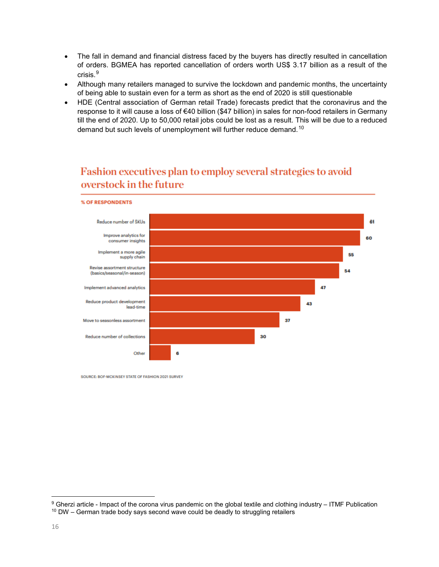- The fall in demand and financial distress faced by the buyers has directly resulted in cancellation of orders. BGMEA has reported cancellation of orders worth US\$ 3.17 billion as a result of the crisis.[9](#page-15-0)
- Although many retailers managed to survive the lockdown and pandemic months, the uncertainty of being able to sustain even for a term as short as the end of 2020 is still questionable
- HDE (Central association of German retail Trade) forecasts predict that the coronavirus and the response to it will cause a loss of €40 billion (\$47 billion) in sales for non-food retailers in Germany till the end of 2020. Up to 50,000 retail jobs could be lost as a result. This will be due to a reduced demand but such levels of unemployment will further reduce demand.<sup>[10](#page-15-1)</sup>

# Fashion executives plan to employ several strategies to avoid overstock in the future



SOURCE: BOF-MCKINSEY STATE OF FASHION 2021 SURVEY

<span id="page-15-1"></span><span id="page-15-0"></span><sup>9</sup> Gherzi article - Impact of the corona virus pandemic on the global textile and clothing industry – ITMF Publication  $10$  DW – German trade body says second wave could be deadly to struggling retailers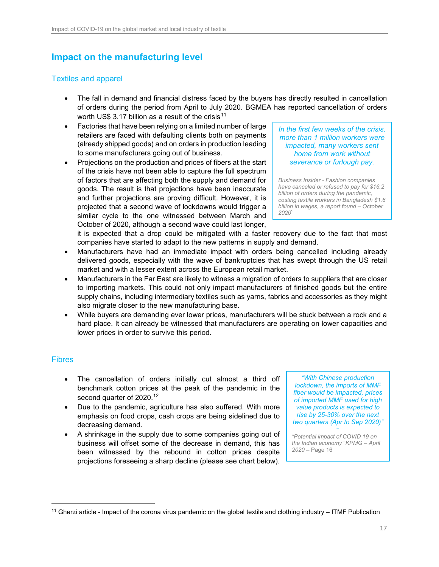## <span id="page-16-0"></span>**Impact on the manufacturing level**

### <span id="page-16-1"></span>Textiles and apparel

- The fall in demand and financial distress faced by the buyers has directly resulted in cancellation of orders during the period from April to July 2020. BGMEA has reported cancellation of orders worth US\$ 3.17 billion as a result of the crisis<sup>[11](#page-16-3)</sup>
- Factories that have been relying on a limited number of large retailers are faced with defaulting clients both on payments (already shipped goods) and on orders in production leading to some manufacturers going out of business.
- Projections on the production and prices of fibers at the start of the crisis have not been able to capture the full spectrum of factors that are affecting both the supply and demand for goods. The result is that projections have been inaccurate and further projections are proving difficult. However, it is projected that a second wave of lockdowns would trigger a similar cycle to the one witnessed between March and October of 2020, although a second wave could last longer,

*In the first few weeks of the crisis, more than 1 million workers were impacted, many workers sent home from work without severance or furlough pay.*

*Business Insider - Fashion companies have canceled or refused to pay for \$16.2 billion of orders during the pandemic, costing textile workers in Bangladesh \$1.6 billion in wages, a report found – October 2020***`**

it is expected that a drop could be mitigated with a faster recovery due to the fact that most companies have started to adapt to the new patterns in supply and demand.

- Manufacturers have had an immediate impact with orders being cancelled including already delivered goods, especially with the wave of bankruptcies that has swept through the US retail market and with a lesser extent across the European retail market.
- Manufacturers in the Far East are likely to witness a migration of orders to suppliers that are closer to importing markets. This could not only impact manufacturers of finished goods but the entire supply chains, including intermediary textiles such as yarns, fabrics and accessories as they might also migrate closer to the new manufacturing base.
- While buyers are demanding ever lower prices, manufacturers will be stuck between a rock and a hard place. It can already be witnessed that manufacturers are operating on lower capacities and lower prices in order to survive this period.

### <span id="page-16-2"></span>**Fibres**

- The cancellation of orders initially cut almost a third off benchmark cotton prices at the peak of the pandemic in the second quarter of 2020.<sup>[12](#page-17-0)</sup>
- Due to the pandemic, agriculture has also suffered. With more emphasis on food crops, cash crops are being sidelined due to decreasing demand.
- A shrinkage in the supply due to some companies going out of business will offset some of the decrease in demand, this has been witnessed by the rebound in cotton prices despite projections foreseeing a sharp decline (please see chart below).

*"With Chinese production lockdown, the imports of MMF fiber would be impacted, prices of imported MMF used for high value products is expected to rise by 25-30% over the next two quarters (Apr to Sep 2020)" –*

*"Potential impact of COVID 19 on the Indian economy" KPMG – April 2020 –* Page 16

<span id="page-16-3"></span> $\overline{a}$ <sup>11</sup> Gherzi article - Impact of the corona virus pandemic on the global textile and clothing industry  $-$  ITMF Publication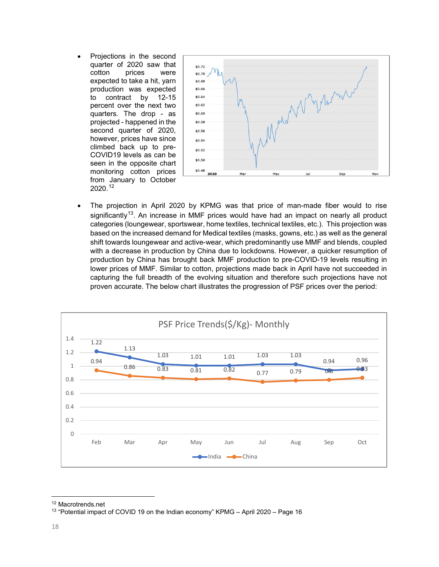• Projections in the second quarter of 2020 saw that cotton prices were expected to take a hit, yarn production was expected to contract by 12-15 percent over the next two quarters. The drop - as projected - happened in the second quarter of 2020, however, prices have since climbed back up to pre-COVID19 levels as can be seen in the opposite chart monitoring cotton prices from January to October 2020.[12](#page-17-1)



<span id="page-17-0"></span>• The projection in April 2020 by KPMG was that price of man-made fiber would to rise significantly<sup>13</sup>. An increase in MMF prices would have had an impact on nearly all product categories (loungewear, sportswear, home textiles, technical textiles, etc.). This projection was based on the increased demand for Medical textiles (masks, gowns, etc.) as well as the general shift towards loungewear and active-wear, which predominantly use MMF and blends, coupled with a decrease in production by China due to lockdowns. However, a quicker resumption of production by China has brought back MMF production to pre-COVID-19 levels resulting in lower prices of MMF. Similar to cotton, projections made back in April have not succeeded in capturing the full breadth of the evolving situation and therefore such projections have not proven accurate. The below chart illustrates the progression of PSF prices over the period:



<span id="page-17-2"></span><span id="page-17-1"></span><sup>&</sup>lt;sup>12</sup> Macrotrends.net<br><sup>13</sup> "Potential impact of COVID 19 on the Indian economy" KPMG – April 2020 – Page 16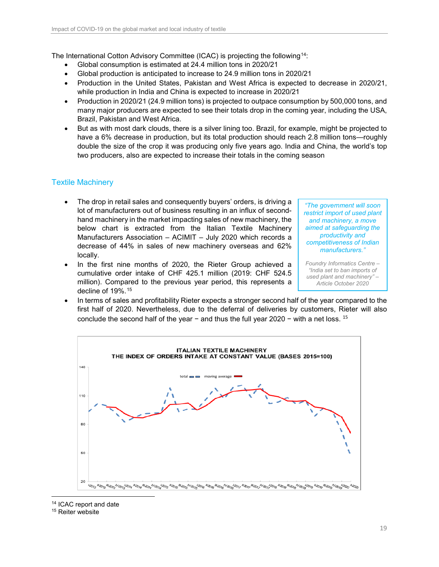The International Cotton Advisory Committee (ICAC) is projecting the following<sup>[14](#page-18-1)</sup>:

- Global consumption is estimated at 24.4 million tons in 2020/21
- Global production is anticipated to increase to 24.9 million tons in 2020/21
- Production in the United States, Pakistan and West Africa is expected to decrease in 2020/21, while production in India and China is expected to increase in 2020/21
- Production in 2020/21 (24.9 million tons) is projected to outpace consumption by 500,000 tons, and many major producers are expected to see their totals drop in the coming year, including the USA, Brazil, Pakistan and West Africa.
- But as with most dark clouds, there is a silver lining too. Brazil, for example, might be projected to have a 6% decrease in production, but its total production should reach 2.8 million tons—roughly double the size of the crop it was producing only five years ago. India and China, the world's top two producers, also are expected to increase their totals in the coming season

### <span id="page-18-0"></span>Textile Machinery

- The drop in retail sales and consequently buyers' orders, is driving a lot of manufacturers out of business resulting in an influx of secondhand machinery in the market impacting sales of new machinery, the below chart is extracted from the Italian Textile Machinery Manufacturers Association – ACIMIT – July 2020 which records a decrease of 44% in sales of new machinery overseas and 62% locally.
- In the first nine months of 2020, the Rieter Group achieved a cumulative order intake of CHF 425.1 million (2019: CHF 524.5 million). Compared to the previous year period, this represents a decline of 19%.[15](#page-18-2)

*"The government will soon restrict import of used plant and machinery, a move aimed at safeguarding the productivity and competitiveness of Indian manufacturers."*

*Foundry Informatics Centre – "India set to ban imports of used plant and machinery" – Article October 2020*

• In terms of sales and profitability Rieter expects a stronger second half of the year compared to the first half of 2020. Nevertheless, due to the deferral of deliveries by customers, Rieter will also conclude the second half of the year – and thus the full year  $2020 -$  with a net loss. <sup>15</sup>



 $\overline{a}$ <sup>14</sup> ICAC report and date

<span id="page-18-2"></span><span id="page-18-1"></span><sup>15</sup> Reiter website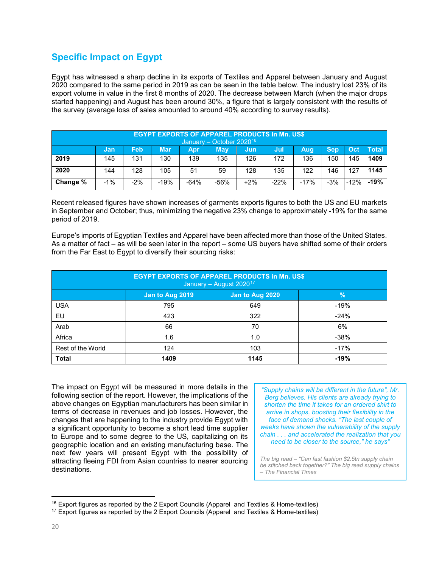### <span id="page-19-0"></span>**Specific Impact on Egypt**

Egypt has witnessed a sharp decline in its exports of Textiles and Apparel between January and August 2020 compared to the same period in 2019 as can be seen in the table below. The industry lost 23% of its export volume in value in the first 8 months of 2020. The decrease between March (when the major drops started happening) and August has been around 30%, a figure that is largely consistent with the results of the survey (average loss of sales amounted to around 40% according to survey results).

| <b>EGYPT EXPORTS OF APPAREL PRODUCTS in Mn. US\$</b><br>January – October 2020 <sup>16</sup> |                                                                                                  |       |        |        |        |       |        |        |       |        |        |
|----------------------------------------------------------------------------------------------|--------------------------------------------------------------------------------------------------|-------|--------|--------|--------|-------|--------|--------|-------|--------|--------|
|                                                                                              | <b>Mar</b><br><b>Total</b><br>Feb<br><b>Sep</b><br>Oct<br>Mav<br>Aug<br>Jul<br>Apr<br>Jun<br>Jan |       |        |        |        |       |        |        |       |        |        |
| 2019                                                                                         | 145                                                                                              | 131   | 130    | 139    | 135    | 126   | 172    | 136    | 150   | 145    | 1409   |
| 2020                                                                                         | 144                                                                                              | 128   | 105    | 51     | 59     | 128   | 135    | 122    | 146   | 127    | 1145   |
| Change %                                                                                     | $-1%$                                                                                            | $-2%$ | $-19%$ | $-64%$ | $-56%$ | $+2%$ | $-22%$ | $-17%$ | $-3%$ | $-12%$ | $-19%$ |

Recent released figures have shown increases of garments exports figures to both the US and EU markets in September and October; thus, minimizing the negative 23% change to approximately -19% for the same period of 2019.

Europe's imports of Egyptian Textiles and Apparel have been affected more than those of the United States. As a matter of fact – as will be seen later in the report – some US buyers have shifted some of their orders from the Far East to Egypt to diversify their sourcing risks:

| <b>EGYPT EXPORTS OF APPAREL PRODUCTS in Mn. US\$</b><br>January - August 2020 <sup>17</sup> |      |      |        |  |  |  |  |  |
|---------------------------------------------------------------------------------------------|------|------|--------|--|--|--|--|--|
| $\frac{9}{6}$<br>Jan to Aug 2020<br>Jan to Aug 2019                                         |      |      |        |  |  |  |  |  |
| <b>USA</b>                                                                                  | 795  | 649  | $-19%$ |  |  |  |  |  |
| EU                                                                                          | 423  | 322  | $-24%$ |  |  |  |  |  |
| Arab                                                                                        | 66   | 70   | 6%     |  |  |  |  |  |
| Africa                                                                                      | 1.6  | 1.0  | $-38%$ |  |  |  |  |  |
| Rest of the World                                                                           | 124  | 103  | $-17%$ |  |  |  |  |  |
| <b>Total</b>                                                                                | 1409 | 1145 | $-19%$ |  |  |  |  |  |

The impact on Egypt will be measured in more details in the following section of the report. However, the implications of the above changes on Egyptian manufacturers has been similar in terms of decrease in revenues and job losses. However, the changes that are happening to the industry provide Egypt with a significant opportunity to become a short lead time supplier to Europe and to some degree to the US, capitalizing on its geographic location and an existing manufacturing base. The next few years will present Egypt with the possibility of attracting fleeing FDI from Asian countries to nearer sourcing destinations.

*"Supply chains will be different in the future", Mr. Berg believes. His clients are already trying to shorten the time it takes for an ordered shirt to arrive in shops, boosting their flexibility in the face of demand shocks. "The last couple of weeks have shown the vulnerability of the supply chain . . . and accelerated the realization that you need to be closer to the source," he says"*

*The big read – "Can fast fashion \$2.5tn supply chain be stitched back together?" The big read supply chains – The Financial Times*

<span id="page-19-1"></span> $16$  Export figures as reported by the 2 Export Councils (Apparel and Textiles & Home-textiles)

<span id="page-19-2"></span><sup>&</sup>lt;sup>17</sup> Export figures as reported by the 2 Export Councils (Apparel and Textiles & Home-textiles)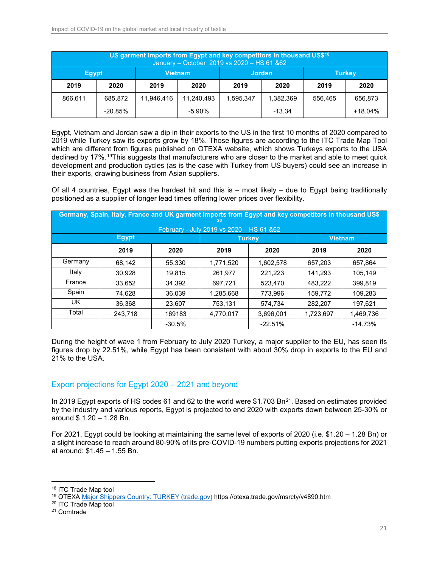| US garment Imports from Egypt and key competitors in thousand US\$ <sup>18</sup><br>January - October 2019 vs 2020 - HS 61 & 62 |            |                |            |               |           |               |           |  |  |
|---------------------------------------------------------------------------------------------------------------------------------|------------|----------------|------------|---------------|-----------|---------------|-----------|--|--|
| Egypt,                                                                                                                          |            | <b>Vietnam</b> |            | <b>Jordan</b> |           | <b>Turkey</b> |           |  |  |
| 2019                                                                                                                            | 2020       | 2019           | 2020       | 2019          | 2020      | 2019          | 2020      |  |  |
| 866,611                                                                                                                         | 685.872    | 11.946.416     | 11.240.493 | 1.595.347     | 1.382.369 | 556.465       | 656,873   |  |  |
|                                                                                                                                 | $-20.85\%$ |                | $-5.90\%$  |               | $-13.34$  |               | $+18.04%$ |  |  |

Egypt, Vietnam and Jordan saw a dip in their exports to the US in the first 10 months of 2020 compared to 2019 while Turkey saw its exports grow by 18%. Those figures are according to the ITC Trade Map Tool which are different from figures published on OTEXA website, which shows Turkeys exports to the USA declined by 17%.[19](#page-20-2)This suggests that manufacturers who are closer to the market and able to meet quick development and production cycles (as is the case with Turkey from US buyers) could see an increase in their exports, drawing business from Asian suppliers.

Of all 4 countries, Egypt was the hardest hit and this is – most likely – due to Egypt being traditionally positioned as a supplier of longer lead times offering lower prices over flexibility.

| Germany, Spain, Italy, France and UK garment Imports from Egypt and key competitors in thousand US\$<br>20 |              |          |           |               |                |           |  |  |  |  |  |
|------------------------------------------------------------------------------------------------------------|--------------|----------|-----------|---------------|----------------|-----------|--|--|--|--|--|
| February - July 2019 vs 2020 - HS 61 & 62                                                                  |              |          |           |               |                |           |  |  |  |  |  |
|                                                                                                            | <b>Egypt</b> |          |           | <b>Turkey</b> | <b>Vietnam</b> |           |  |  |  |  |  |
|                                                                                                            | 2019         | 2020     | 2019      | 2020          | 2019           | 2020      |  |  |  |  |  |
| Germany                                                                                                    | 68,142       | 55,330   | 1,771,520 | 1,602,578     | 657,203        | 657.864   |  |  |  |  |  |
| Italy                                                                                                      | 30.928       | 19.815   | 261.977   | 221,223       | 141.293        | 105.149   |  |  |  |  |  |
| France                                                                                                     | 33,652       | 34,392   | 697,721   | 523,470       | 483,222        | 399,819   |  |  |  |  |  |
| Spain                                                                                                      | 74,628       | 36,039   | 1,285,668 | 773,996       | 159,772        | 109,283   |  |  |  |  |  |
| UK.                                                                                                        | 36.368       | 23,607   | 753.131   | 574.734       | 282.207        | 197,621   |  |  |  |  |  |
| Total                                                                                                      | 243,718      | 169183   | 4,770,017 | 3,696,001     | 1,723,697      | 1,469,736 |  |  |  |  |  |
|                                                                                                            |              | $-30.5%$ |           | $-22.51%$     |                | $-14.73%$ |  |  |  |  |  |

During the height of wave 1 from February to July 2020 Turkey, a major supplier to the EU, has seen its figures drop by 22.51%, while Egypt has been consistent with about 30% drop in exports to the EU and 21% to the USA.

### <span id="page-20-0"></span>Export projections for Egypt 2020 – 2021 and beyond

In 2019 Egypt exports of HS codes 61 and 62 to the world were \$1.703 Bn<sup>[21](#page-20-4)</sup>. Based on estimates provided by the industry and various reports, Egypt is projected to end 2020 with exports down between 25-30% or around \$ 1.20 – 1.28 Bn.

For 2021, Egypt could be looking at maintaining the same level of exports of 2020 (i.e. \$1.20 – 1.28 Bn) or a slight increase to reach around 80-90% of its pre-COVID-19 numbers putting exports projections for 2021 at around: \$1.45 – 1.55 Bn.

<span id="page-20-1"></span><sup>18</sup> ITC Trade Map tool

<span id="page-20-2"></span><sup>19</sup> OTEXA [Major Shippers Country: TURKEY \(trade.gov\)](https://otexa.trade.gov/msrcty/v4890.htm) https://otexa.trade.gov/msrcty/v4890.htm

<span id="page-20-3"></span><sup>20</sup> ITC Trade Map tool

<span id="page-20-4"></span><sup>21</sup> Comtrade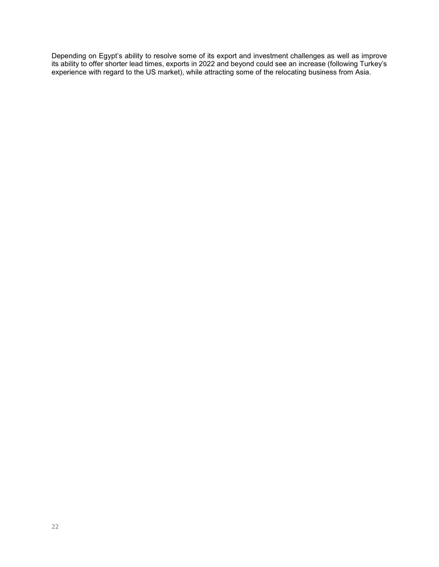Depending on Egypt's ability to resolve some of its export and investment challenges as well as improve its ability to offer shorter lead times, exports in 2022 and beyond could see an increase (following Turkey's experience with regard to the US market), while attracting some of the relocating business from Asia.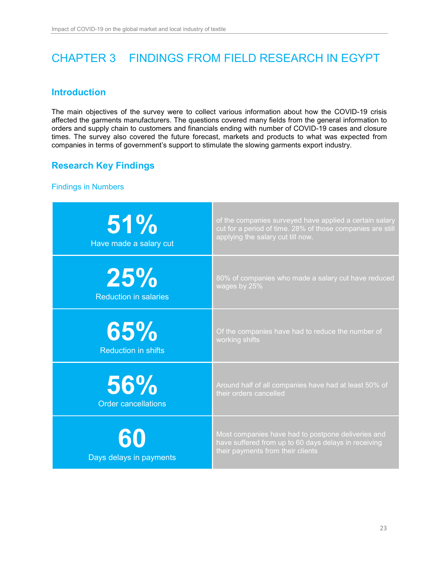# <span id="page-22-0"></span>CHAPTER 3 FINDINGS FROM FIELD RESEARCH IN EGYPT

### <span id="page-22-1"></span>**Introduction**

The main objectives of the survey were to collect various information about how the COVID-19 crisis affected the garments manufacturers. The questions covered many fields from the general information to orders and supply chain to customers and financials ending with number of COVID-19 cases and closure times. The survey also covered the future forecast, markets and products to what was expected from companies in terms of government's support to stimulate the slowing garments export industry.

### <span id="page-22-2"></span>**Research Key Findings**

### <span id="page-22-3"></span>Findings in Numbers

| 51%<br>Have made a salary cut | of the companies surveyed have applied a certain salary<br>cut for a period of time. 28% of those companies are still<br>applying the salary cut till now. |
|-------------------------------|------------------------------------------------------------------------------------------------------------------------------------------------------------|
| 25%                           | 80% of companies who made a salary cut have reduced                                                                                                        |
| <b>Reduction in salaries</b>  | wages by 25%                                                                                                                                               |
| 65%                           | Of the companies have had to reduce the number of                                                                                                          |
| <b>Reduction in shifts</b>    | working shifts                                                                                                                                             |
| 56%                           | Around half of all companies have had at least 50% of                                                                                                      |
| <b>Order cancellations</b>    | their orders cancelled                                                                                                                                     |
| 60<br>Days delays in payments | Most companies have had to postpone deliveries and<br>have suffered from up to 60 days delays in receiving<br>their payments from their clients            |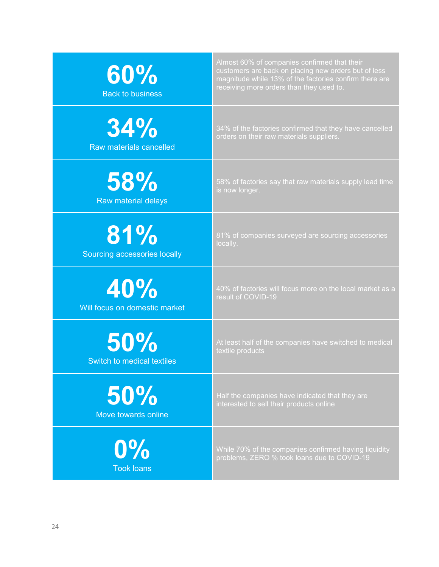| 60%<br><b>Back to business</b> | Almost 60% of companies confirmed that their<br>customers are back on placing new orders but of less<br>magnitude while 13% of the factories confirm there are<br>receiving more orders than they used to. |
|--------------------------------|------------------------------------------------------------------------------------------------------------------------------------------------------------------------------------------------------------|
| 34%                            | 34% of the factories confirmed that they have cancelled                                                                                                                                                    |
| Raw materials cancelled        | orders on their raw materials suppliers.                                                                                                                                                                   |
| 58%                            | 58% of factories say that raw materials supply lead time                                                                                                                                                   |
| Raw material delays            | is now longer.                                                                                                                                                                                             |
| 81%                            | 81% of companies surveyed are sourcing accessories                                                                                                                                                         |
| Sourcing accessories locally   | locally.                                                                                                                                                                                                   |
| 40%                            | 40% of factories will focus more on the local market as a                                                                                                                                                  |
| Will focus on domestic market  | result of COVID-19                                                                                                                                                                                         |
| 50%                            | At least half of the companies have switched to medical                                                                                                                                                    |
| Switch to medical textiles     | textile products                                                                                                                                                                                           |
| 50%                            | Half the companies have indicated that they are                                                                                                                                                            |
| Move towards online            | interested to sell their products online                                                                                                                                                                   |
| $0\%$                          | While 70% of the companies confirmed having liquidity                                                                                                                                                      |
| <b>Took loans</b>              | problems, ZERO % took loans due to COVID-19                                                                                                                                                                |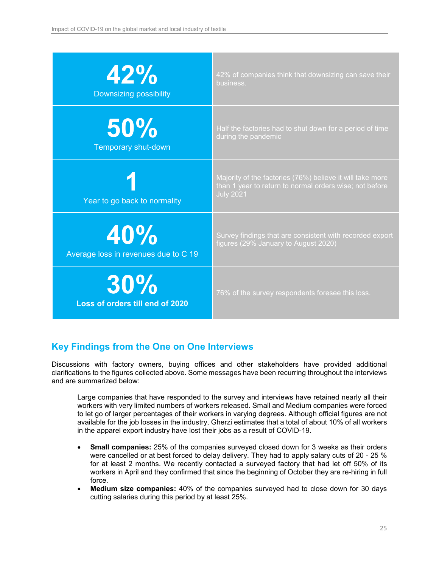| 42%                                    | 42% of companies think that downsizing can save their                                                                                    |
|----------------------------------------|------------------------------------------------------------------------------------------------------------------------------------------|
| <b>Downsizing possibility</b>          | business.                                                                                                                                |
| 50%                                    | Half the factories had to shut down for a period of time                                                                                 |
| Temporary shut-down                    | during the pandemic                                                                                                                      |
| Year to go back to normality           | Majority of the factories (76%) believe it will take more<br>than 1 year to return to normal orders wise; not before<br><b>July 2021</b> |
| 40%                                    | Survey findings that are consistent with recorded export                                                                                 |
| Average loss in revenues due to C 19   | figures (29% January to August 2020)                                                                                                     |
| 30%<br>Loss of orders till end of 2020 | 76% of the survey respondents foresee this loss.                                                                                         |

### <span id="page-24-0"></span>**Key Findings from the One on One Interviews**

Discussions with factory owners, buying offices and other stakeholders have provided additional clarifications to the figures collected above. Some messages have been recurring throughout the interviews and are summarized below:

Large companies that have responded to the survey and interviews have retained nearly all their workers with very limited numbers of workers released. Small and Medium companies were forced to let go of larger percentages of their workers in varying degrees. Although official figures are not available for the job losses in the industry, Gherzi estimates that a total of about 10% of all workers in the apparel export industry have lost their jobs as a result of COVID-19.

- **Small companies:** 25% of the companies surveyed closed down for 3 weeks as their orders were cancelled or at best forced to delay delivery. They had to apply salary cuts of 20 - 25 % for at least 2 months. We recently contacted a surveyed factory that had let off 50% of its workers in April and they confirmed that since the beginning of October they are re-hiring in full force.
- **Medium size companies:** 40% of the companies surveyed had to close down for 30 days cutting salaries during this period by at least 25%.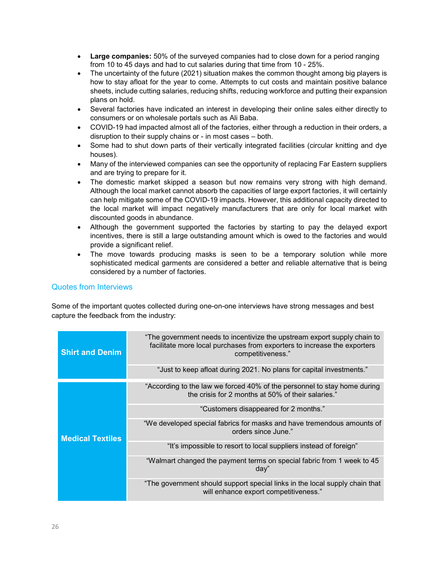- **Large companies:** 50% of the surveyed companies had to close down for a period ranging from 10 to 45 days and had to cut salaries during that time from 10 - 25%.
- The uncertainty of the future (2021) situation makes the common thought among big players is how to stay afloat for the year to come. Attempts to cut costs and maintain positive balance sheets, include cutting salaries, reducing shifts, reducing workforce and putting their expansion plans on hold.
- Several factories have indicated an interest in developing their online sales either directly to consumers or on wholesale portals such as Ali Baba.
- COVID-19 had impacted almost all of the factories, either through a reduction in their orders, a disruption to their supply chains or - in most cases – both.
- Some had to shut down parts of their vertically integrated facilities (circular knitting and dye houses).
- Many of the interviewed companies can see the opportunity of replacing Far Eastern suppliers and are trying to prepare for it.
- The domestic market skipped a season but now remains very strong with high demand. Although the local market cannot absorb the capacities of large export factories, it will certainly can help mitigate some of the COVID-19 impacts. However, this additional capacity directed to the local market will impact negatively manufacturers that are only for local market with discounted goods in abundance.
- Although the government supported the factories by starting to pay the delayed export incentives, there is still a large outstanding amount which is owed to the factories and would provide a significant relief.
- The move towards producing masks is seen to be a temporary solution while more sophisticated medical garments are considered a better and reliable alternative that is being considered by a number of factories.

### <span id="page-25-0"></span>Quotes from Interviews

Some of the important quotes collected during one-on-one interviews have strong messages and best capture the feedback from the industry:

| <b>Shirt and Denim</b>  | "The government needs to incentivize the upstream export supply chain to<br>facilitate more local purchases from exporters to increase the exporters<br>competitiveness." |
|-------------------------|---------------------------------------------------------------------------------------------------------------------------------------------------------------------------|
|                         | "Just to keep afloat during 2021. No plans for capital investments."                                                                                                      |
|                         | "According to the law we forced 40% of the personnel to stay home during<br>the crisis for 2 months at 50% of their salaries."                                            |
| <b>Medical Textiles</b> | "Customers disappeared for 2 months."                                                                                                                                     |
|                         | "We developed special fabrics for masks and have tremendous amounts of<br>orders since June."                                                                             |
|                         | "It's impossible to resort to local suppliers instead of foreign"                                                                                                         |
|                         | "Walmart changed the payment terms on special fabric from 1 week to 45<br>day''                                                                                           |
|                         | "The government should support special links in the local supply chain that<br>will enhance export competitiveness."                                                      |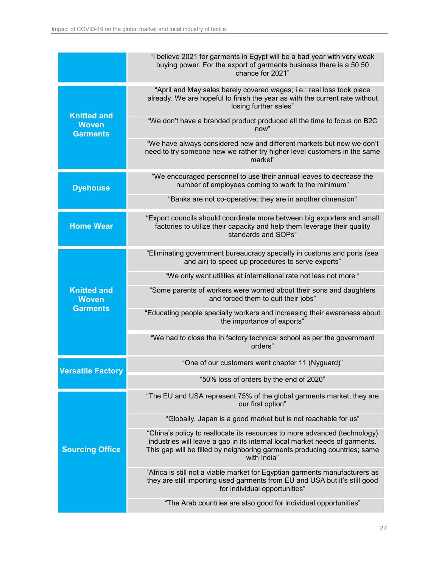|                                                       | "I believe 2021 for garments in Egypt will be a bad year with very weak<br>buying power. For the export of garments business there is a 50 50<br>chance for 2021"                                                                                    |
|-------------------------------------------------------|------------------------------------------------------------------------------------------------------------------------------------------------------------------------------------------------------------------------------------------------------|
|                                                       | "April and May sales barely covered wages; i.e.: real loss took place<br>already. We are hopeful to finish the year as with the current rate without<br>losing further sales"                                                                        |
| <b>Knitted and</b><br><b>Woven</b><br><b>Garments</b> | "We don't have a branded product produced all the time to focus on B2C<br>now"                                                                                                                                                                       |
|                                                       | "We have always considered new and different markets but now we don't<br>need to try someone new we rather try higher level customers in the same<br>market"                                                                                         |
| <b>Dyehouse</b>                                       | "We encouraged personnel to use their annual leaves to decrease the<br>number of employees coming to work to the minimum"                                                                                                                            |
|                                                       | "Banks are not co-operative; they are in another dimension"                                                                                                                                                                                          |
| <b>Home Wear</b>                                      | "Export councils should coordinate more between big exporters and small<br>factories to utilize their capacity and help them leverage their quality<br>standards and SOPs"                                                                           |
|                                                       | "Eliminating government bureaucracy specially in customs and ports (sea<br>and air) to speed up procedures to serve exports"                                                                                                                         |
|                                                       | "We only want utilities at international rate not less not more"                                                                                                                                                                                     |
| <b>Knitted and</b><br><b>Woven</b>                    | "Some parents of workers were worried about their sons and daughters<br>and forced them to quit their jobs"                                                                                                                                          |
| <b>Garments</b>                                       | "Educating people specially workers and increasing their awareness about<br>the importance of exports"                                                                                                                                               |
|                                                       | "We had to close the in factory technical school as per the government<br>orders"                                                                                                                                                                    |
| <b>Versatile Factory</b>                              | "One of our customers went chapter 11 (Nyguard)"                                                                                                                                                                                                     |
|                                                       | "50% loss of orders by the end of 2020"                                                                                                                                                                                                              |
|                                                       | "The EU and USA represent 75% of the global garments market; they are<br>our first option"                                                                                                                                                           |
|                                                       | "Globally, Japan is a good market but is not reachable for us"                                                                                                                                                                                       |
| <b>Sourcing Office</b>                                | "China's policy to reallocate its resources to more advanced (technology)<br>industries will leave a gap in its internal local market needs of garments.<br>This gap will be filled by neighboring garments producing countries; same<br>with India" |
|                                                       | "Africa is still not a viable market for Egyptian garments manufacturers as<br>they are still importing used garments from EU and USA but it's still good<br>for individual opportunities"                                                           |
|                                                       | "The Arab countries are also good for individual opportunities"                                                                                                                                                                                      |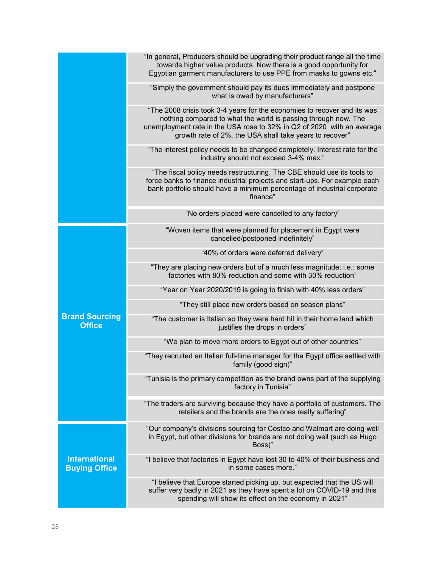|                                              | "In general, Producers should be upgrading their product range all the time<br>towards higher value products. Now there is a good opportunity for<br>Egyptian garment manufacturers to use PPE from masks to gowns etc."                                                        |
|----------------------------------------------|---------------------------------------------------------------------------------------------------------------------------------------------------------------------------------------------------------------------------------------------------------------------------------|
|                                              | "Simply the government should pay its dues immediately and postpone<br>what is owed by manufacturers"                                                                                                                                                                           |
|                                              | "The 2008 crisis took 3-4 years for the economies to recover and its was<br>nothing compared to what the world is passing through now. The<br>unemployment rate in the USA rose to 32% in Q2 of 2020 with an average<br>growth rate of 2%, the USA shall take years to recover" |
|                                              | "The interest policy needs to be changed completely. Interest rate for the<br>industry should not exceed 3-4% max."                                                                                                                                                             |
|                                              | "The fiscal policy needs restructuring. The CBE should use its tools to<br>force banks to finance industrial projects and start-ups. For example each<br>bank portfolio should have a minimum percentage of industrial corporate<br>finance"                                    |
|                                              | "No orders placed were cancelled to any factory"                                                                                                                                                                                                                                |
|                                              | "Woven items that were planned for placement in Egypt were<br>cancelled/postponed indefinitely"                                                                                                                                                                                 |
|                                              | "40% of orders were deferred delivery"                                                                                                                                                                                                                                          |
|                                              | "They are placing new orders but of a much less magnitude; i.e.: some<br>factories with 80% reduction and some with 30% reduction"                                                                                                                                              |
|                                              | "Year on Year 2020/2019 is going to finish with 40% less orders"                                                                                                                                                                                                                |
|                                              | "They still place new orders based on season plans"                                                                                                                                                                                                                             |
| <b>Brand Sourcing</b><br><b>Office</b>       | "The customer is Italian so they were hard hit in their home land which<br>justifies the drops in orders"                                                                                                                                                                       |
|                                              | "We plan to move more orders to Egypt out of other countries"                                                                                                                                                                                                                   |
|                                              | "They recruited an Italian full-time manager for the Egypt office settled with<br>family (good sign)"                                                                                                                                                                           |
|                                              | "Tunisia is the primary competition as the brand owns part of the supplying<br>factory in Tunisia"                                                                                                                                                                              |
|                                              | "The traders are surviving because they have a portfolio of customers. The<br>retailers and the brands are the ones really suffering"                                                                                                                                           |
|                                              | "Our company's divisions sourcing for Costco and Walmart are doing well<br>in Egypt, but other divisions for brands are not doing well (such as Hugo<br>Boss)"                                                                                                                  |
| <b>International</b><br><b>Buying Office</b> | "I believe that factories in Egypt have lost 30 to 40% of their business and<br>in some cases more."                                                                                                                                                                            |
|                                              | "I believe that Europe started picking up, but expected that the US will<br>suffer very badly in 2021 as they have spent a lot on COVID-19 and this<br>spending will show its effect on the economy in 2021"                                                                    |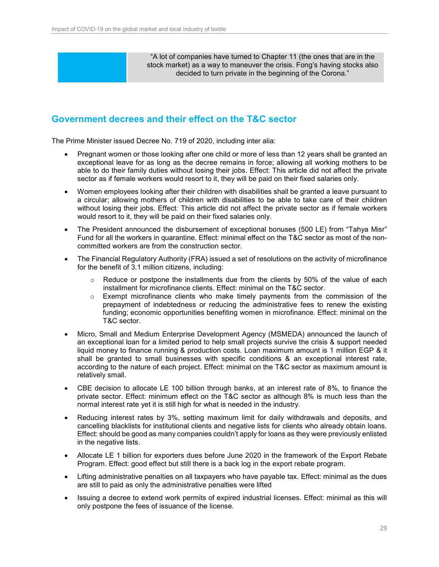"A lot of companies have turned to Chapter 11 (the ones that are in the stock market) as a way to maneuver the crisis. Fong's having stocks also decided to turn private in the beginning of the Corona."

### <span id="page-28-0"></span>**Government decrees and their effect on the T&C sector**

The Prime Minister issued Decree No. 719 of 2020, including inter alia:

- Pregnant women or those looking after one child or more of less than 12 years shall be granted an exceptional leave for as long as the decree remains in force; allowing all working mothers to be able to do their family duties without losing their jobs. Effect: This article did not affect the private sector as if female workers would resort to it, they will be paid on their fixed salaries only.
- Women employees looking after their children with disabilities shall be granted a leave pursuant to a circular; allowing mothers of children with disabilities to be able to take care of their children without losing their jobs. Effect*:* This article did not affect the private sector as if female workers would resort to it, they will be paid on their fixed salaries only.
- The President announced the disbursement of exceptional bonuses (500 LE) from "Tahya Misr" Fund for all the workers in quarantine. Effect: minimal effect on the T&C sector as most of the noncommitted workers are from the construction sector.
- The Financial Regulatory Authority (FRA) issued a set of resolutions on the activity of microfinance for the benefit of 3.1 million citizens, including:
	- $\circ$  Reduce or postpone the installments due from the clients by 50% of the value of each installment for microfinance clients. Effect: minimal on the T&C sector.
	- $\circ$  Exempt microfinance clients who make timely payments from the commission of the prepayment of indebtedness or reducing the administrative fees to renew the existing funding; economic opportunities benefiting women in microfinance. Effect: minimal on the T&C sector.
- Micro, Small and Medium Enterprise Development Agency (MSMEDA) announced the launch of an exceptional loan for a limited period to help small projects survive the crisis & support needed liquid money to finance running & production costs. Loan maximum amount is 1 million EGP & it shall be granted to small businesses with specific conditions & an exceptional interest rate, according to the nature of each project. Effect: minimal on the T&C sector as maximum amount is relatively small.
- CBE decision to allocate LE 100 billion through banks, at an interest rate of 8%, to finance the private sector. Effect: minimum effect on the T&C sector as although 8% is much less than the normal interest rate yet it is still high for what is needed in the industry.
- Reducing interest rates by 3%, setting maximum limit for daily withdrawals and deposits, and cancelling blacklists for institutional clients and negative lists for clients who already obtain loans. Effect: should be good as many companies couldn't apply for loans as they were previously enlisted in the negative lists.
- Allocate LE 1 billion for exporters dues before June 2020 in the framework of the Export Rebate Program. Effect: good effect but still there is a back log in the export rebate program.
- Lifting administrative penalties on all taxpayers who have payable tax. Effect: minimal as the dues are still to paid as only the administrative penalties were lifted
- Issuing a decree to extend work permits of expired industrial licenses. Effect: minimal as this will only postpone the fees of issuance of the license.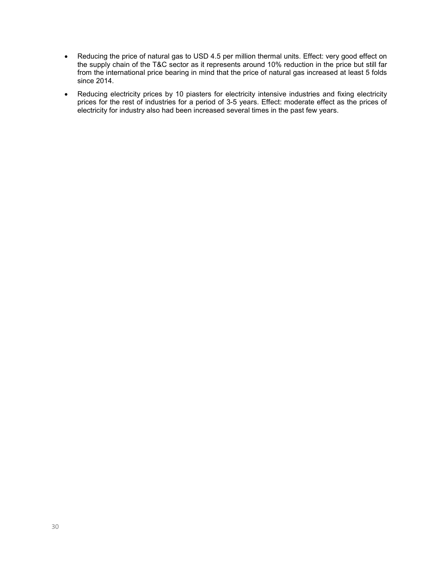- Reducing the price of natural gas to USD 4.5 per million thermal units. Effect: very good effect on the supply chain of the T&C sector as it represents around 10% reduction in the price but still far from the international price bearing in mind that the price of natural gas increased at least 5 folds since 2014.
- Reducing electricity prices by 10 piasters for electricity intensive industries and fixing electricity prices for the rest of industries for a period of 3-5 years. Effect: moderate effect as the prices of electricity for industry also had been increased several times in the past few years.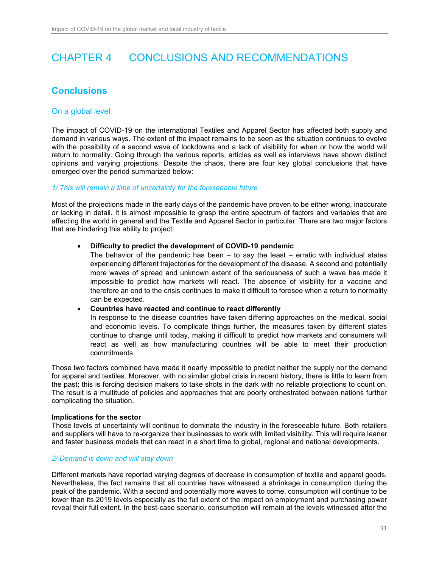# <span id="page-30-0"></span>CHAPTER 4 CONCLUSIONS AND RECOMMENDATIONS

### <span id="page-30-1"></span>**Conclusions**

### <span id="page-30-2"></span>On a global level

The impact of COVID-19 on the international Textiles and Apparel Sector has affected both supply and demand in various ways. The extent of the impact remains to be seen as the situation continues to evolve with the possibility of a second wave of lockdowns and a lack of visibility for when or how the world will return to normality. Going through the various reports, articles as well as interviews have shown distinct opinions and varying projections. Despite the chaos, there are four key global conclusions that have emerged over the period summarized below:

#### *1/ This will remain a time of uncertainty for the foreseeable future*

Most of the projections made in the early days of the pandemic have proven to be either wrong, inaccurate or lacking in detail. It is almost impossible to grasp the entire spectrum of factors and variables that are affecting the world in general and the Textile and Apparel Sector in particular. There are two major factors that are hindering this ability to project:

#### • **Difficulty to predict the development of COVID-19 pandemic**

The behavior of the pandemic has been  $-$  to say the least  $-$  erratic with individual states experiencing different trajectories for the development of the disease. A second and potentially more waves of spread and unknown extent of the seriousness of such a wave has made it impossible to predict how markets will react. The absence of visibility for a vaccine and therefore an end to the crisis continues to make it difficult to foresee when a return to normality can be expected.

#### • **Countries have reacted and continue to react differently**

In response to the disease countries have taken differing approaches on the medical, social and economic levels. To complicate things further, the measures taken by different states continue to change until today, making it difficult to predict how markets and consumers will react as well as how manufacturing countries will be able to meet their production commitments.

Those two factors combined have made it nearly impossible to predict neither the supply nor the demand for apparel and textiles. Moreover, with no similar global crisis in recent history, there is little to learn from the past; this is forcing decision makers to take shots in the dark with no reliable projections to count on. The result is a multitude of policies and approaches that are poorly orchestrated between nations further complicating the situation.

#### **Implications for the sector**

Those levels of uncertainty will continue to dominate the industry in the foreseeable future. Both retailers and suppliers will have to re-organize their businesses to work with limited visibility. This will require leaner and faster business models that can react in a short time to global, regional and national developments.

#### *2/ Demand is down and will stay down*

Different markets have reported varying degrees of decrease in consumption of textile and apparel goods. Nevertheless, the fact remains that all countries have witnessed a shrinkage in consumption during the peak of the pandemic. With a second and potentially more waves to come, consumption will continue to be lower than its 2019 levels especially as the full extent of the impact on employment and purchasing power reveal their full extent. In the best-case scenario, consumption will remain at the levels witnessed after the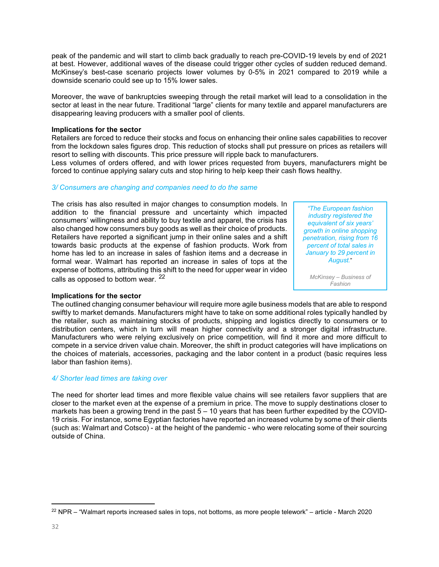peak of the pandemic and will start to climb back gradually to reach pre-COVID-19 levels by end of 2021 at best. However, additional waves of the disease could trigger other cycles of sudden reduced demand. McKinsey's best-case scenario projects lower volumes by 0-5% in 2021 compared to 2019 while a downside scenario could see up to 15% lower sales.

Moreover, the wave of bankruptcies sweeping through the retail market will lead to a consolidation in the sector at least in the near future. Traditional "large" clients for many textile and apparel manufacturers are disappearing leaving producers with a smaller pool of clients.

#### **Implications for the sector**

Retailers are forced to reduce their stocks and focus on enhancing their online sales capabilities to recover from the lockdown sales figures drop. This reduction of stocks shall put pressure on prices as retailers will resort to selling with discounts. This price pressure will ripple back to manufacturers.

Less volumes of orders offered, and with lower prices requested from buyers, manufacturers might be forced to continue applying salary cuts and stop hiring to help keep their cash flows healthy.

### *3/ Consumers are changing and companies need to do the same*

The crisis has also resulted in major changes to consumption models. In addition to the financial pressure and uncertainty which impacted consumers' willingness and ability to buy textile and apparel, the crisis has also changed how consumers buy goods as well as their choice of products. Retailers have reported a significant jump in their online sales and a shift towards basic products at the expense of fashion products. Work from home has led to an increase in sales of fashion items and a decrease in formal wear. Walmart has reported an increase in sales of tops at the expense of bottoms, attributing this shift to the need for upper wear in video calls as opposed to bottom wear. <sup>[22](#page-31-0)</sup>

*"The European fashion industry registered the equivalent of six years' growth in online shopping penetration, rising from 16 percent of total sales in January to 29 percent in August.*"

*McKinsey – Business of Fashion*

#### **Implications for the sector**

The outlined changing consumer behaviour will require more agile business models that are able to respond swiftly to market demands. Manufacturers might have to take on some additional roles typically handled by the retailer, such as maintaining stocks of products, shipping and logistics directly to consumers or to distribution centers, which in turn will mean higher connectivity and a stronger digital infrastructure. Manufacturers who were relying exclusively on price competition, will find it more and more difficult to compete in a service driven value chain. Moreover, the shift in product categories will have implications on the choices of materials, accessories, packaging and the labor content in a product (basic requires less labor than fashion items).

#### *4/ Shorter lead times are taking over*

The need for shorter lead times and more flexible value chains will see retailers favor suppliers that are closer to the market even at the expense of a premium in price. The move to supply destinations closer to markets has been a growing trend in the past 5 – 10 years that has been further expedited by the COVID-19 crisis. For instance, some Egyptian factories have reported an increased volume by some of their clients (such as: Walmart and Cotsco) - at the height of the pandemic - who were relocating some of their sourcing outside of China.

<span id="page-31-0"></span> $\overline{a}$  $^{22}$  NPR – "Walmart reports increased sales in tops, not bottoms, as more people telework" – article - March 2020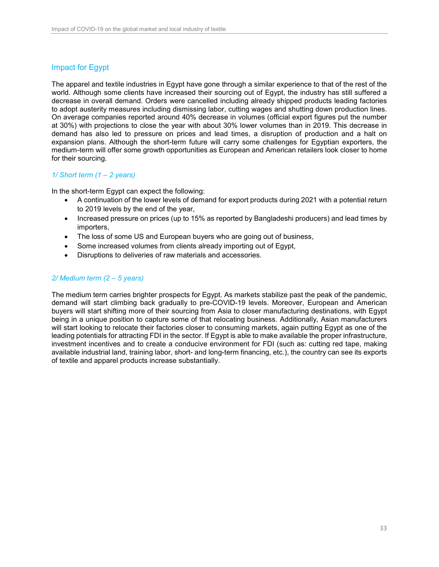### <span id="page-32-0"></span>Impact for Egypt

The apparel and textile industries in Egypt have gone through a similar experience to that of the rest of the world. Although some clients have increased their sourcing out of Egypt, the industry has still suffered a decrease in overall demand. Orders were cancelled including already shipped products leading factories to adopt austerity measures including dismissing labor, cutting wages and shutting down production lines. On average companies reported around 40% decrease in volumes (official export figures put the number at 30%) with projections to close the year with about 30% lower volumes than in 2019. This decrease in demand has also led to pressure on prices and lead times, a disruption of production and a halt on expansion plans. Although the short-term future will carry some challenges for Egyptian exporters, the medium-term will offer some growth opportunities as European and American retailers look closer to home for their sourcing.

### *1/ Short term (1 – 2 years)*

In the short-term Egypt can expect the following:

- A continuation of the lower levels of demand for export products during 2021 with a potential return to 2019 levels by the end of the year,
- Increased pressure on prices (up to 15% as reported by Bangladeshi producers) and lead times by importers,
- The loss of some US and European buyers who are going out of business,
- Some increased volumes from clients already importing out of Egypt,
- Disruptions to deliveries of raw materials and accessories.

### *2/ Medium term (2 – 5 years)*

The medium term carries brighter prospects for Egypt. As markets stabilize past the peak of the pandemic, demand will start climbing back gradually to pre-COVID-19 levels. Moreover, European and American buyers will start shifting more of their sourcing from Asia to closer manufacturing destinations, with Egypt being in a unique position to capture some of that relocating business. Additionally, Asian manufacturers will start looking to relocate their factories closer to consuming markets, again putting Egypt as one of the leading potentials for attracting FDI in the sector. If Egypt is able to make available the proper infrastructure, investment incentives and to create a conducive environment for FDI (such as: cutting red tape, making available industrial land, training labor, short- and long-term financing, etc.), the country can see its exports of textile and apparel products increase substantially.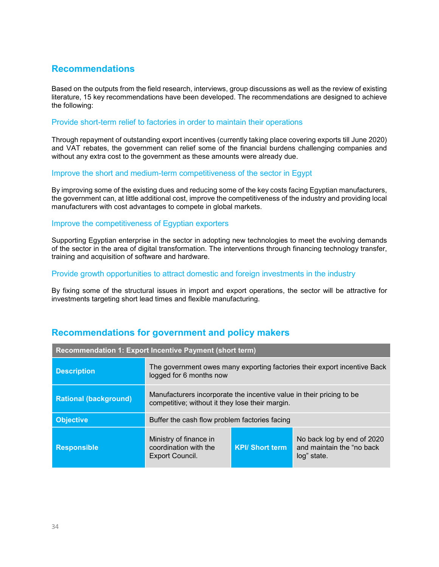### <span id="page-33-0"></span>**Recommendations**

Based on the outputs from the field research, interviews, group discussions as well as the review of existing literature, 15 key recommendations have been developed. The recommendations are designed to achieve the following:

### Provide short-term relief to factories in order to maintain their operations

Through repayment of outstanding export incentives (currently taking place covering exports till June 2020) and VAT rebates, the government can relief some of the financial burdens challenging companies and without any extra cost to the government as these amounts were already due.

### Improve the short and medium-term competitiveness of the sector in Egypt

By improving some of the existing dues and reducing some of the key costs facing Egyptian manufacturers, the government can, at little additional cost, improve the competitiveness of the industry and providing local manufacturers with cost advantages to compete in global markets.

### Improve the competitiveness of Egyptian exporters

Supporting Egyptian enterprise in the sector in adopting new technologies to meet the evolving demands of the sector in the area of digital transformation. The interventions through financing technology transfer, training and acquisition of software and hardware.

### Provide growth opportunities to attract domestic and foreign investments in the industry

By fixing some of the structural issues in import and export operations, the sector will be attractive for investments targeting short lead times and flexible manufacturing.

| Recommendation 1: Export Incentive Payment (short term) |                                                                                                                         |                        |                                                                        |
|---------------------------------------------------------|-------------------------------------------------------------------------------------------------------------------------|------------------------|------------------------------------------------------------------------|
| <b>Description</b>                                      | The government owes many exporting factories their export incentive Back<br>logged for 6 months now                     |                        |                                                                        |
| <b>Rational (background)</b>                            | Manufacturers incorporate the incentive value in their pricing to be<br>competitive; without it they lose their margin. |                        |                                                                        |
| <b>Objective</b>                                        | Buffer the cash flow problem factories facing                                                                           |                        |                                                                        |
| <b>Responsible</b>                                      | Ministry of finance in<br>coordination with the<br>Export Council.                                                      | <b>KPI/ Short term</b> | No back log by end of 2020<br>and maintain the "no back<br>log" state. |

### <span id="page-33-1"></span>**Recommendations for government and policy makers**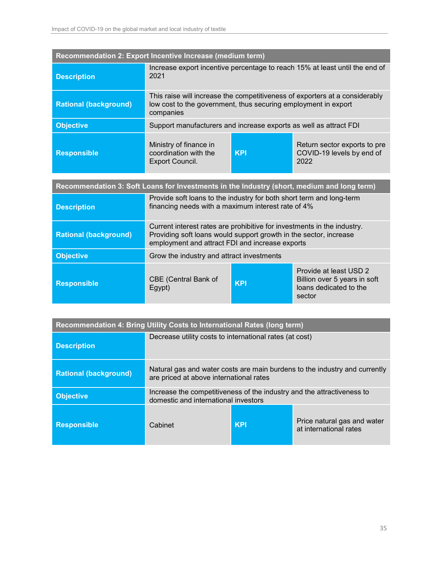| Recommendation 2: Export Incentive Increase (medium term)                                  |                                                                                                                                                                                                 |            |                                                                                            |
|--------------------------------------------------------------------------------------------|-------------------------------------------------------------------------------------------------------------------------------------------------------------------------------------------------|------------|--------------------------------------------------------------------------------------------|
| <b>Description</b>                                                                         | Increase export incentive percentage to reach 15% at least until the end of<br>2021                                                                                                             |            |                                                                                            |
| <b>Rational (background)</b>                                                               | This raise will increase the competitiveness of exporters at a considerably<br>low cost to the government, thus securing employment in export<br>companies                                      |            |                                                                                            |
| <b>Objective</b>                                                                           | Support manufacturers and increase exports as well as attract FDI                                                                                                                               |            |                                                                                            |
| <b>Responsible</b>                                                                         | Ministry of finance in<br>coordination with the<br>Export Council.                                                                                                                              | <b>KPI</b> | Return sector exports to pre<br>COVID-19 levels by end of<br>2022                          |
| Recommendation 3: Soft Loans for Investments in the Industry (short, medium and long term) |                                                                                                                                                                                                 |            |                                                                                            |
| <b>Description</b>                                                                         | Provide soft loans to the industry for both short term and long-term<br>financing needs with a maximum interest rate of 4%                                                                      |            |                                                                                            |
| <b>Rational (background)</b>                                                               | Current interest rates are prohibitive for investments in the industry.<br>Providing soft loans would support growth in the sector, increase<br>employment and attract FDI and increase exports |            |                                                                                            |
| <b>Objective</b>                                                                           | Grow the industry and attract investments                                                                                                                                                       |            |                                                                                            |
| <b>Responsible</b>                                                                         | <b>CBE (Central Bank of</b><br>Egypt)                                                                                                                                                           | <b>KPI</b> | Provide at least USD 2<br>Billion over 5 years in soft<br>loans dedicated to the<br>sector |

| Recommendation 4: Bring Utility Costs to International Rates (long term) |                                                                                                                       |            |                                                       |
|--------------------------------------------------------------------------|-----------------------------------------------------------------------------------------------------------------------|------------|-------------------------------------------------------|
| <b>Description</b>                                                       | Decrease utility costs to international rates (at cost)                                                               |            |                                                       |
| <b>Rational (background)</b>                                             | Natural gas and water costs are main burdens to the industry and currently<br>are priced at above international rates |            |                                                       |
| <b>Objective</b>                                                         | Increase the competitiveness of the industry and the attractiveness to<br>domestic and international investors        |            |                                                       |
| <b>Responsible</b>                                                       | Cabinet                                                                                                               | <b>KPI</b> | Price natural gas and water<br>at international rates |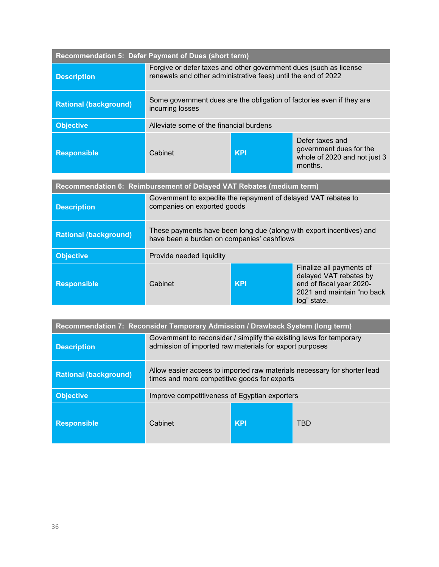| Recommendation 5: Defer Payment of Dues (short term)                 |                                                                                                                                    |            |                                                                                                                             |
|----------------------------------------------------------------------|------------------------------------------------------------------------------------------------------------------------------------|------------|-----------------------------------------------------------------------------------------------------------------------------|
| <b>Description</b>                                                   | Forgive or defer taxes and other government dues (such as license<br>renewals and other administrative fees) until the end of 2022 |            |                                                                                                                             |
| <b>Rational (background)</b>                                         | Some government dues are the obligation of factories even if they are<br>incurring losses                                          |            |                                                                                                                             |
| <b>Objective</b>                                                     | Alleviate some of the financial burdens                                                                                            |            |                                                                                                                             |
| <b>Responsible</b>                                                   | Cabinet                                                                                                                            | <b>KPI</b> | Defer taxes and<br>government dues for the<br>whole of 2020 and not just 3<br>months.                                       |
|                                                                      |                                                                                                                                    |            |                                                                                                                             |
| Recommendation 6: Reimbursement of Delayed VAT Rebates (medium term) |                                                                                                                                    |            |                                                                                                                             |
| <b>Description</b>                                                   | Government to expedite the repayment of delayed VAT rebates to<br>companies on exported goods                                      |            |                                                                                                                             |
| <b>Rational (background)</b>                                         | These payments have been long due (along with export incentives) and<br>have been a burden on companies' cashflows                 |            |                                                                                                                             |
| <b>Objective</b>                                                     | Provide needed liquidity                                                                                                           |            |                                                                                                                             |
| <b>Responsible</b>                                                   | Cabinet                                                                                                                            | <b>KPI</b> | Finalize all payments of<br>delayed VAT rebates by<br>end of fiscal year 2020-<br>2021 and maintain "no back<br>log" state. |

| Recommendation 7: Reconsider Temporary Admission / Drawback System (long term) |                                                                                                                                |            |     |
|--------------------------------------------------------------------------------|--------------------------------------------------------------------------------------------------------------------------------|------------|-----|
| <b>Description</b>                                                             | Government to reconsider / simplify the existing laws for temporary<br>admission of imported raw materials for export purposes |            |     |
| <b>Rational (background)</b>                                                   | Allow easier access to imported raw materials necessary for shorter lead<br>times and more competitive goods for exports       |            |     |
| <b>Objective</b>                                                               | Improve competitiveness of Egyptian exporters                                                                                  |            |     |
| <b>Responsible</b>                                                             | Cabinet                                                                                                                        | <b>KPI</b> | TBD |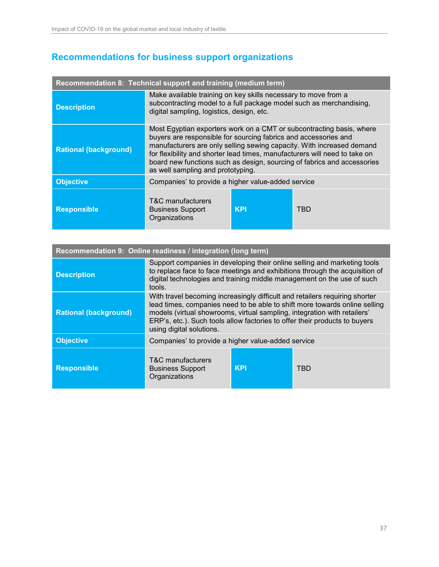# <span id="page-36-0"></span>**Recommendations for business support organizations**

| Recommendation 8: Technical support and training (medium term) |                                                                                                                                                                                                                                                                                                                                                                                                                |            |            |
|----------------------------------------------------------------|----------------------------------------------------------------------------------------------------------------------------------------------------------------------------------------------------------------------------------------------------------------------------------------------------------------------------------------------------------------------------------------------------------------|------------|------------|
| <b>Description</b>                                             | Make available training on key skills necessary to move from a<br>subcontracting model to a full package model such as merchandising,<br>digital sampling, logistics, design, etc.                                                                                                                                                                                                                             |            |            |
| <b>Rational (background)</b>                                   | Most Egyptian exporters work on a CMT or subcontracting basis, where<br>buyers are responsible for sourcing fabrics and accessories and<br>manufacturers are only selling sewing capacity. With increased demand<br>for flexibility and shorter lead times, manufacturers will need to take on<br>board new functions such as design, sourcing of fabrics and accessories<br>as well sampling and prototyping. |            |            |
| <b>Objective</b>                                               | Companies' to provide a higher value-added service                                                                                                                                                                                                                                                                                                                                                             |            |            |
| <b>Responsible</b>                                             | T&C manufacturers<br><b>Business Support</b><br>Organizations                                                                                                                                                                                                                                                                                                                                                  | <b>KPI</b> | <b>TBD</b> |

| Recommendation 9: Online readiness / integration (long term) |                                                                                                                                                                                                                                                                                                                                                 |            |            |  |
|--------------------------------------------------------------|-------------------------------------------------------------------------------------------------------------------------------------------------------------------------------------------------------------------------------------------------------------------------------------------------------------------------------------------------|------------|------------|--|
| <b>Description</b>                                           | Support companies in developing their online selling and marketing tools<br>to replace face to face meetings and exhibitions through the acquisition of<br>digital technologies and training middle management on the use of such<br>tools.                                                                                                     |            |            |  |
| <b>Rational (background)</b>                                 | With travel becoming increasingly difficult and retailers requiring shorter<br>lead times, companies need to be able to shift more towards online selling<br>models (virtual showrooms, virtual sampling, integration with retailers'<br>ERP's, etc.). Such tools allow factories to offer their products to buyers<br>using digital solutions. |            |            |  |
| <b>Objective</b>                                             | Companies' to provide a higher value-added service                                                                                                                                                                                                                                                                                              |            |            |  |
| <b>Responsible</b>                                           | T&C manufacturers<br><b>Business Support</b><br>Organizations                                                                                                                                                                                                                                                                                   | <b>KPI</b> | <b>TBD</b> |  |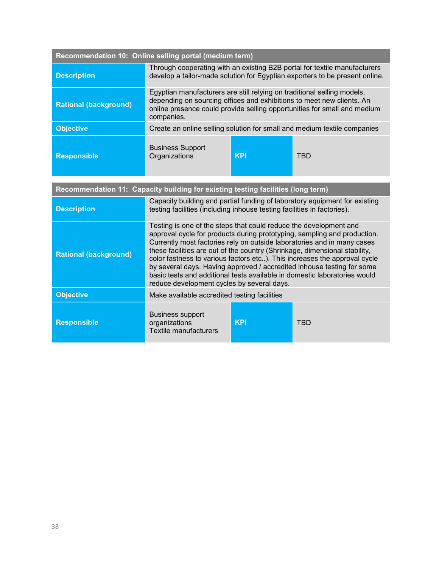| Recommendation 10: Online selling portal (medium term)                           |                                                                                                                                                                                                                                                                                                                                                                                                                                                                                                                                                                                          |            |                                                                          |
|----------------------------------------------------------------------------------|------------------------------------------------------------------------------------------------------------------------------------------------------------------------------------------------------------------------------------------------------------------------------------------------------------------------------------------------------------------------------------------------------------------------------------------------------------------------------------------------------------------------------------------------------------------------------------------|------------|--------------------------------------------------------------------------|
| <b>Description</b>                                                               | Through cooperating with an existing B2B portal for textile manufacturers<br>develop a tailor-made solution for Egyptian exporters to be present online.                                                                                                                                                                                                                                                                                                                                                                                                                                 |            |                                                                          |
| <b>Rational (background)</b>                                                     | Egyptian manufacturers are still relying on traditional selling models,<br>depending on sourcing offices and exhibitions to meet new clients. An<br>online presence could provide selling opportunities for small and medium<br>companies.                                                                                                                                                                                                                                                                                                                                               |            |                                                                          |
| <b>Objective</b>                                                                 |                                                                                                                                                                                                                                                                                                                                                                                                                                                                                                                                                                                          |            | Create an online selling solution for small and medium textile companies |
| <b>Responsible</b>                                                               | <b>Business Support</b><br>Organizations                                                                                                                                                                                                                                                                                                                                                                                                                                                                                                                                                 | <b>KPI</b> | <b>TBD</b>                                                               |
|                                                                                  |                                                                                                                                                                                                                                                                                                                                                                                                                                                                                                                                                                                          |            |                                                                          |
| Recommendation 11: Capacity building for existing testing facilities (long term) |                                                                                                                                                                                                                                                                                                                                                                                                                                                                                                                                                                                          |            |                                                                          |
| <b>Description</b>                                                               | Capacity building and partial funding of laboratory equipment for existing<br>testing facilities (including inhouse testing facilities in factories).                                                                                                                                                                                                                                                                                                                                                                                                                                    |            |                                                                          |
| <b>Rational (background)</b>                                                     | Testing is one of the steps that could reduce the development and<br>approval cycle for products during prototyping, sampling and production.<br>Currently most factories rely on outside laboratories and in many cases<br>these facilities are out of the country (Shrinkage, dimensional stability,<br>color fastness to various factors etc). This increases the approval cycle<br>by several days. Having approved / accredited inhouse testing for some<br>basic tests and additional tests available in domestic laboratories would<br>reduce development cycles by several days. |            |                                                                          |
| <b>Objective</b>                                                                 | Make available accredited testing facilities                                                                                                                                                                                                                                                                                                                                                                                                                                                                                                                                             |            |                                                                          |
| <b>Responsible</b>                                                               | <b>Business support</b><br>organizations<br><b>Textile manufacturers</b>                                                                                                                                                                                                                                                                                                                                                                                                                                                                                                                 | <b>KPI</b> | <b>TBD</b>                                                               |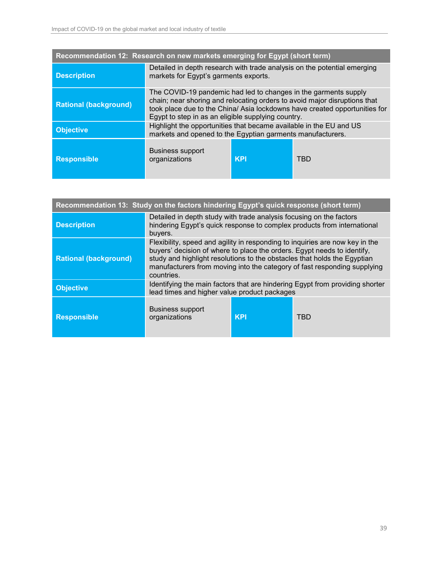| Recommendation 12: Research on new markets emerging for Egypt (short term) |                                                                                                                                                                                                                                                                                  |            |            |  |
|----------------------------------------------------------------------------|----------------------------------------------------------------------------------------------------------------------------------------------------------------------------------------------------------------------------------------------------------------------------------|------------|------------|--|
| <b>Description</b>                                                         | Detailed in depth research with trade analysis on the potential emerging<br>markets for Egypt's garments exports.                                                                                                                                                                |            |            |  |
| <b>Rational (background)</b>                                               | The COVID-19 pandemic had led to changes in the garments supply<br>chain; near shoring and relocating orders to avoid major disruptions that<br>took place due to the China/ Asia lockdowns have created opportunities for<br>Egypt to step in as an eligible supplying country. |            |            |  |
| <b>Objective</b>                                                           | Highlight the opportunities that became available in the EU and US<br>markets and opened to the Egyptian garments manufacturers.                                                                                                                                                 |            |            |  |
| <b>Responsible</b>                                                         | <b>Business support</b><br>organizations                                                                                                                                                                                                                                         | <b>KPI</b> | <b>TBD</b> |  |

| Recommendation 13: Study on the factors hindering Egypt's quick response (short term) |                                                                                                                                                                                                                                                                                                                               |            |     |  |
|---------------------------------------------------------------------------------------|-------------------------------------------------------------------------------------------------------------------------------------------------------------------------------------------------------------------------------------------------------------------------------------------------------------------------------|------------|-----|--|
| <b>Description</b>                                                                    | Detailed in depth study with trade analysis focusing on the factors<br>hindering Egypt's quick response to complex products from international<br>buyers.                                                                                                                                                                     |            |     |  |
| <b>Rational (background)</b>                                                          | Flexibility, speed and agility in responding to inquiries are now key in the<br>buyers' decision of where to place the orders. Egypt needs to identify,<br>study and highlight resolutions to the obstacles that holds the Egyptian<br>manufacturers from moving into the category of fast responding supplying<br>countries. |            |     |  |
| <b>Objective</b>                                                                      | Identifying the main factors that are hindering Egypt from providing shorter<br>lead times and higher value product packages                                                                                                                                                                                                  |            |     |  |
| <b>Responsible</b>                                                                    | <b>Business support</b><br>organizations                                                                                                                                                                                                                                                                                      | <b>KPI</b> | TBD |  |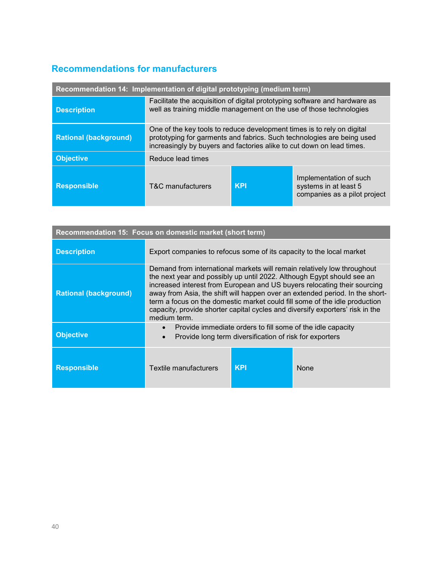## <span id="page-39-0"></span>**Recommendations for manufacturers**

| Recommendation 14: Implementation of digital prototyping (medium term) |                                                                                                                                                                                                                           |            |                                                                                 |
|------------------------------------------------------------------------|---------------------------------------------------------------------------------------------------------------------------------------------------------------------------------------------------------------------------|------------|---------------------------------------------------------------------------------|
| <b>Description</b>                                                     | Facilitate the acquisition of digital prototyping software and hardware as<br>well as training middle management on the use of those technologies                                                                         |            |                                                                                 |
| <b>Rational (background)</b>                                           | One of the key tools to reduce development times is to rely on digital<br>prototyping for garments and fabrics. Such technologies are being used<br>increasingly by buyers and factories alike to cut down on lead times. |            |                                                                                 |
| <b>Objective</b>                                                       | Reduce lead times                                                                                                                                                                                                         |            |                                                                                 |
| <b>Responsible</b>                                                     | T&C manufacturers                                                                                                                                                                                                         | <b>KPI</b> | Implementation of such<br>systems in at least 5<br>companies as a pilot project |

| Recommendation 15: Focus on domestic market (short term) |                                                                                                                                                                                                                                                                                                                                                                                                                                                                                              |            |             |  |
|----------------------------------------------------------|----------------------------------------------------------------------------------------------------------------------------------------------------------------------------------------------------------------------------------------------------------------------------------------------------------------------------------------------------------------------------------------------------------------------------------------------------------------------------------------------|------------|-------------|--|
| <b>Description</b>                                       | Export companies to refocus some of its capacity to the local market                                                                                                                                                                                                                                                                                                                                                                                                                         |            |             |  |
| <b>Rational (background)</b>                             | Demand from international markets will remain relatively low throughout<br>the next year and possibly up until 2022. Although Egypt should see an<br>increased interest from European and US buyers relocating their sourcing<br>away from Asia, the shift will happen over an extended period. In the short-<br>term a focus on the domestic market could fill some of the idle production<br>capacity, provide shorter capital cycles and diversify exporters' risk in the<br>medium term. |            |             |  |
| <b>Objective</b>                                         | Provide immediate orders to fill some of the idle capacity<br>$\bullet$<br>Provide long term diversification of risk for exporters<br>$\bullet$                                                                                                                                                                                                                                                                                                                                              |            |             |  |
| <b>Responsible</b>                                       | Textile manufacturers                                                                                                                                                                                                                                                                                                                                                                                                                                                                        | <b>KPI</b> | <b>None</b> |  |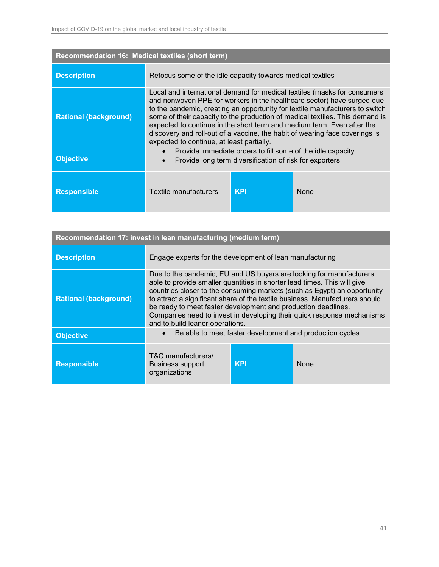| Recommendation 16: Medical textiles (short term) |                                                                                                                                                                                                                                                                                                                                                                                                                                                                                                                          |            |             |  |
|--------------------------------------------------|--------------------------------------------------------------------------------------------------------------------------------------------------------------------------------------------------------------------------------------------------------------------------------------------------------------------------------------------------------------------------------------------------------------------------------------------------------------------------------------------------------------------------|------------|-------------|--|
| <b>Description</b>                               | Refocus some of the idle capacity towards medical textiles                                                                                                                                                                                                                                                                                                                                                                                                                                                               |            |             |  |
| <b>Rational (background)</b>                     | Local and international demand for medical textiles (masks for consumers<br>and nonwoven PPE for workers in the healthcare sector) have surged due<br>to the pandemic, creating an opportunity for textile manufacturers to switch<br>some of their capacity to the production of medical textiles. This demand is<br>expected to continue in the short term and medium term. Even after the<br>discovery and roll-out of a vaccine, the habit of wearing face coverings is<br>expected to continue, at least partially. |            |             |  |
| <b>Objective</b>                                 | Provide immediate orders to fill some of the idle capacity<br>$\bullet$<br>Provide long term diversification of risk for exporters                                                                                                                                                                                                                                                                                                                                                                                       |            |             |  |
| <b>Responsible</b>                               | Textile manufacturers                                                                                                                                                                                                                                                                                                                                                                                                                                                                                                    | <b>KPI</b> | <b>None</b> |  |

| Recommendation 17: invest in lean manufacturing (medium term) |                                                                                                                                                                                                                                                                                                                                                                                                                                                                                           |            |      |  |
|---------------------------------------------------------------|-------------------------------------------------------------------------------------------------------------------------------------------------------------------------------------------------------------------------------------------------------------------------------------------------------------------------------------------------------------------------------------------------------------------------------------------------------------------------------------------|------------|------|--|
| <b>Description</b>                                            | Engage experts for the development of lean manufacturing                                                                                                                                                                                                                                                                                                                                                                                                                                  |            |      |  |
| <b>Rational (background)</b>                                  | Due to the pandemic, EU and US buyers are looking for manufacturers<br>able to provide smaller quantities in shorter lead times. This will give<br>countries closer to the consuming markets (such as Egypt) an opportunity<br>to attract a significant share of the textile business. Manufacturers should<br>be ready to meet faster development and production deadlines.<br>Companies need to invest in developing their quick response mechanisms<br>and to build leaner operations. |            |      |  |
| <b>Objective</b>                                              | Be able to meet faster development and production cycles<br>$\bullet$                                                                                                                                                                                                                                                                                                                                                                                                                     |            |      |  |
| <b>Responsible</b>                                            | T&C manufacturers/<br><b>Business support</b><br>organizations                                                                                                                                                                                                                                                                                                                                                                                                                            | <b>KPI</b> | None |  |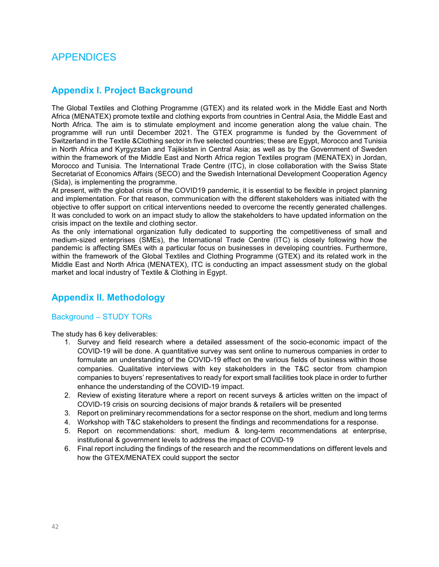### <span id="page-41-0"></span>APPENDICES

### <span id="page-41-1"></span>**Appendix I. Project Background**

The Global Textiles and Clothing Programme (GTEX) and its related work in the Middle East and North Africa (MENATEX) promote textile and clothing exports from countries in Central Asia, the Middle East and North Africa. The aim is to stimulate employment and income generation along the value chain. The programme will run until December 2021. The GTEX programme is funded by the Government of Switzerland in the Textile &Clothing sector in five selected countries; these are Egypt, Morocco and Tunisia in North Africa and Kyrgyzstan and Tajikistan in Central Asia; as well as by the Government of Sweden within the framework of the Middle East and North Africa region Textiles program (MENATEX) in Jordan, Morocco and Tunisia. The International Trade Centre (ITC), in close collaboration with the Swiss State Secretariat of Economics Affairs (SECO) and the Swedish International Development Cooperation Agency (Sida), is implementing the programme.

At present, with the global crisis of the COVID19 pandemic, it is essential to be flexible in project planning and implementation. For that reason, communication with the different stakeholders was initiated with the objective to offer support on critical interventions needed to overcome the recently generated challenges. It was concluded to work on an impact study to allow the stakeholders to have updated information on the crisis impact on the textile and clothing sector.

As the only international organization fully dedicated to supporting the competitiveness of small and medium-sized enterprises (SMEs), the International Trade Centre (ITC) is closely following how the pandemic is affecting SMEs with a particular focus on businesses in developing countries. Furthermore, within the framework of the Global Textiles and Clothing Programme (GTEX) and its related work in the Middle East and North Africa (MENATEX), ITC is conducting an impact assessment study on the global market and local industry of Textile & Clothing in Egypt.

### <span id="page-41-2"></span>**Appendix II. Methodology**

### Background – STUDY TORs

The study has 6 key deliverables:

- 1. Survey and field research where a detailed assessment of the socio-economic impact of the COVID-19 will be done. A quantitative survey was sent online to numerous companies in order to formulate an understanding of the COVID-19 effect on the various fields of business within those companies. Qualitative interviews with key stakeholders in the T&C sector from champion companies to buyers' representatives to ready for export small facilities took place in order to further enhance the understanding of the COVID-19 impact.
- 2. Review of existing literature where a report on recent surveys & articles written on the impact of COVID-19 crisis on sourcing decisions of major brands & retailers will be presented
- 3. Report on preliminary recommendations for a sector response on the short, medium and long terms
- 4. Workshop with T&C stakeholders to present the findings and recommendations for a response.
- 5. Report on recommendations: short, medium & long-term recommendations at enterprise, institutional & government levels to address the impact of COVID-19
- 6. Final report including the findings of the research and the recommendations on different levels and how the GTEX/MENATEX could support the sector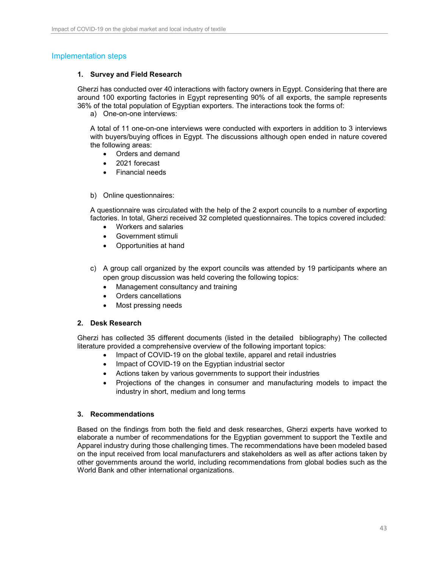### Implementation steps

### **1. Survey and Field Research**

Gherzi has conducted over 40 interactions with factory owners in Egypt. Considering that there are around 100 exporting factories in Egypt representing 90% of all exports, the sample represents 36% of the total population of Egyptian exporters. The interactions took the forms of:

a) One-on-one interviews:

A total of 11 one-on-one interviews were conducted with exporters in addition to 3 interviews with buyers/buying offices in Egypt. The discussions although open ended in nature covered the following areas:

- Orders and demand
- 2021 forecast
- Financial needs
- b) Online questionnaires:

A questionnaire was circulated with the help of the 2 export councils to a number of exporting factories. In total, Gherzi received 32 completed questionnaires. The topics covered included:

- Workers and salaries
- Government stimuli
- Opportunities at hand
- c) A group call organized by the export councils was attended by 19 participants where an open group discussion was held covering the following topics:
	- Management consultancy and training
	- Orders cancellations
	- Most pressing needs

### **2. Desk Research**

Gherzi has collected 35 different documents (listed in the detailed bibliography) The collected literature provided a comprehensive overview of the following important topics:

- Impact of COVID-19 on the global textile, apparel and retail industries
- Impact of COVID-19 on the Egyptian industrial sector
- Actions taken by various governments to support their industries
- Projections of the changes in consumer and manufacturing models to impact the industry in short, medium and long terms

#### **3. Recommendations**

Based on the findings from both the field and desk researches, Gherzi experts have worked to elaborate a number of recommendations for the Egyptian government to support the Textile and Apparel industry during those challenging times. The recommendations have been modeled based on the input received from local manufacturers and stakeholders as well as after actions taken by other governments around the world, including recommendations from global bodies such as the World Bank and other international organizations.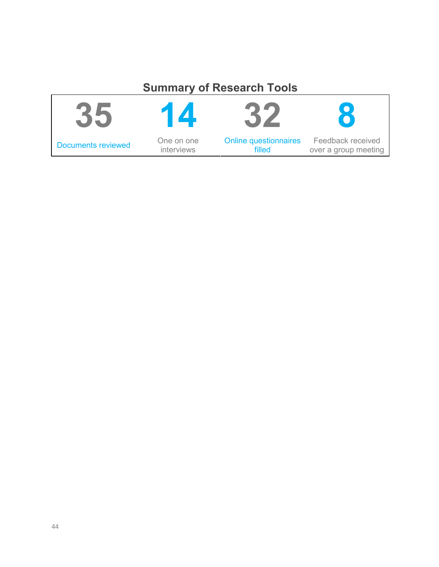# **Summary of Research Tools**

| $\bullet$                 |            |                              |                      |
|---------------------------|------------|------------------------------|----------------------|
| <b>Documents reviewed</b> | One on one | <b>Online questionnaires</b> | Feedback received    |
|                           | interviews | filled                       | over a group meeting |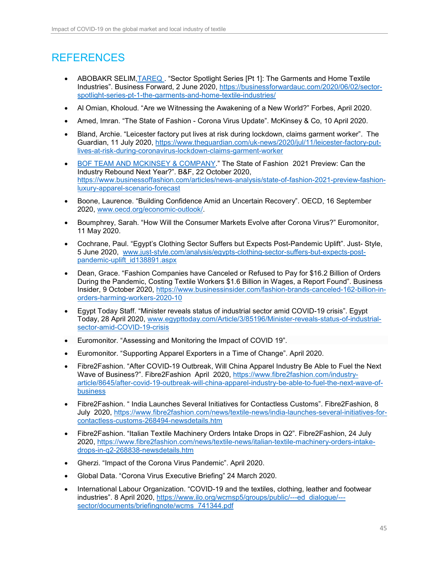# <span id="page-44-0"></span>REFERENCES

- ABOBAKR SELIM, TAREQ. "Sector Spotlight Series [Pt 1]: The Garments and Home Textile Industries". Business Forward, 2 June 2020, [https://businessforwardauc.com/2020/06/02/sector](https://businessforwardauc.com/2020/06/02/sector-spotlight-series-pt-1-the-garments-and-home-textile-industries/)[spotlight-series-pt-1-the-garments-and-home-textile-industries/](https://businessforwardauc.com/2020/06/02/sector-spotlight-series-pt-1-the-garments-and-home-textile-industries/)
- Al Omian, Kholoud. "Are we Witnessing the Awakening of a New World?" Forbes, April 2020.
- Amed, Imran. "The State of Fashion Corona Virus Update". McKinsey & Co, 10 April 2020.
- Bland, Archie. "Leicester factory put lives at risk during lockdown, claims garment worker". The Guardian, 11 July 2020, [https://www.theguardian.com/uk-news/2020/jul/11/leicester-factory-put](https://www.theguardian.com/uk-news/2020/jul/11/leicester-factory-put-lives-at-risk-during-coronavirus-lockdown-claims-garment-worker)[lives-at-risk-during-coronavirus-lockdown-claims-garment-worker](https://www.theguardian.com/uk-news/2020/jul/11/leicester-factory-put-lives-at-risk-during-coronavirus-lockdown-claims-garment-worker)
- [BOF TEAM AND MCKINSEY & COMPANY.](https://www.businessoffashion.com/articles/author/bof-mckinsey)" The State of Fashion 2021 Preview: Can the Industry Rebound Next Year?". B&F, 22 October 2020, [https://www.businessoffashion.com/articles/news-analysis/state-of-fashion-2021-preview-fashion](https://www.businessoffashion.com/articles/news-analysis/state-of-fashion-2021-preview-fashion-luxury-apparel-scenario-forecast)[luxury-apparel-scenario-forecast](https://www.businessoffashion.com/articles/news-analysis/state-of-fashion-2021-preview-fashion-luxury-apparel-scenario-forecast)
- Boone, Laurence. "Building Confidence Amid an Uncertain Recovery". OECD, 16 September 2020, [www.oecd.org/economic-outlook/.](http://www.oecd.org/economic-outlook/)
- Boumphrey, Sarah. "How Will the Consumer Markets Evolve after Corona Virus?" Euromonitor, 11 May 2020.
- Cochrane, Paul. "Egypt's Clothing Sector Suffers but Expects Post-Pandemic Uplift". Just- Style, 5 June 2020, [www.just-style.com/analysis/egypts-clothing-sector-suffers-but-expects-post](http://www.just-style.com/analysis/egypts-clothing-sector-suffers-but-expects-post-pandemic-uplift_id138891.aspx)[pandemic-uplift\\_id138891.aspx](http://www.just-style.com/analysis/egypts-clothing-sector-suffers-but-expects-post-pandemic-uplift_id138891.aspx)
- Dean, Grace. "Fashion Companies have Canceled or Refused to Pay for \$16.2 Billion of Orders During the Pandemic, Costing Textile Workers \$1.6 Billion in Wages, a Report Found". Business Insider, 9 October 2020, [https://www.businessinsider.com/fashion-brands-canceled-162-billion-in](https://www.businessinsider.com/fashion-brands-canceled-162-billion-in-orders-harming-workers-2020-10)[orders-harming-workers-2020-10](https://www.businessinsider.com/fashion-brands-canceled-162-billion-in-orders-harming-workers-2020-10)
- Egypt Today Staff. "Minister reveals status of industrial sector amid COVID-19 crisis". Egypt Today, 28 April 2020, [www.egypttoday.com/Article/3/85196/Minister-reveals-status-of-industrial](http://www.egypttoday.com/Article/3/85196/Minister-reveals-status-of-industrial-sector-amid-COVID-19-crisis)[sector-amid-COVID-19-crisis](http://www.egypttoday.com/Article/3/85196/Minister-reveals-status-of-industrial-sector-amid-COVID-19-crisis)
- Euromonitor. "Assessing and Monitoring the Impact of COVID 19".
- Euromonitor. "Supporting Apparel Exporters in a Time of Change". April 2020.
- Fibre2Fashion. "After COVID-19 Outbreak, Will China Apparel Industry Be Able to Fuel the Next Wave of Business?". Fibre2Fashion April 2020, [https://www.fibre2fashion.com/industry](https://www.fibre2fashion.com/industry-article/8645/after-covid-19-outbreak-will-china-apparel-industry-be-able-to-fuel-the-next-wave-of-business)[article/8645/after-covid-19-outbreak-will-china-apparel-industry-be-able-to-fuel-the-next-wave-of](https://www.fibre2fashion.com/industry-article/8645/after-covid-19-outbreak-will-china-apparel-industry-be-able-to-fuel-the-next-wave-of-business)[business](https://www.fibre2fashion.com/industry-article/8645/after-covid-19-outbreak-will-china-apparel-industry-be-able-to-fuel-the-next-wave-of-business)
- Fibre2Fashion. " India Launches Several Initiatives for Contactless Customs". Fibre2Fashion, 8 July 2020, [https://www.fibre2fashion.com/news/textile-news/india-launches-several-initiatives-for](https://www.fibre2fashion.com/news/textile-news/india-launches-several-initiatives-for-contactless-customs-268494-newsdetails.htm)[contactless-customs-268494-newsdetails.htm](https://www.fibre2fashion.com/news/textile-news/india-launches-several-initiatives-for-contactless-customs-268494-newsdetails.htm)
- Fibre2Fashion. "Italian Textile Machinery Orders Intake Drops in Q2". Fibre2Fashion, 24 July 2020, [https://www.fibre2fashion.com/news/textile-news/italian-textile-machinery-orders-intake](https://www.fibre2fashion.com/news/textile-news/italian-textile-machinery-orders-intake-drops-in-q2-268838-newsdetails.htm)[drops-in-q2-268838-newsdetails.htm](https://www.fibre2fashion.com/news/textile-news/italian-textile-machinery-orders-intake-drops-in-q2-268838-newsdetails.htm)
- Gherzi. "Impact of the Corona Virus Pandemic". April 2020.
- Global Data. "Corona Virus Executive Briefing" 24 March 2020.
- International Labour Organization. "COVID-19 and the textiles, clothing, leather and footwear industries". 8 April 2020, [https://www.ilo.org/wcmsp5/groups/public/---ed\\_dialogue/--](https://www.ilo.org/wcmsp5/groups/public/---ed_dialogue/---sector/documents/briefingnote/wcms_741344.pdf) [sector/documents/briefingnote/wcms\\_741344.pdf](https://www.ilo.org/wcmsp5/groups/public/---ed_dialogue/---sector/documents/briefingnote/wcms_741344.pdf)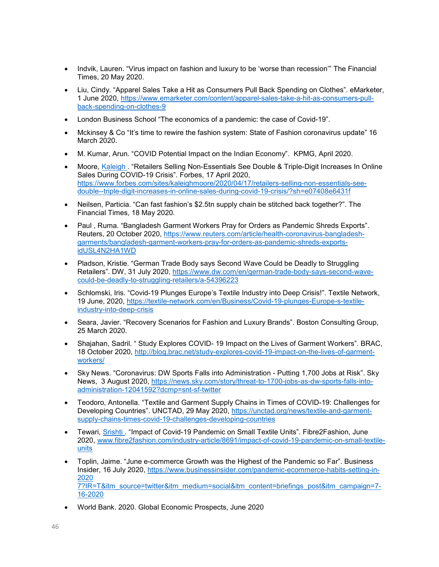- Indvik, Lauren. "Virus impact on fashion and luxury to be 'worse than recession'" The Financial Times, 20 May 2020.
- Liu, Cindy. "Apparel Sales Take a Hit as Consumers Pull Back Spending on Clothes". eMarketer, 1 June 2020, [https://www.emarketer.com/content/apparel-sales-take-a-hit-as-consumers-pull](https://www.emarketer.com/content/apparel-sales-take-a-hit-as-consumers-pull-back-spending-on-clothes-9)[back-spending-on-clothes-9](https://www.emarketer.com/content/apparel-sales-take-a-hit-as-consumers-pull-back-spending-on-clothes-9)
- London Business School "The economics of a pandemic: the case of Covid-19".
- Mckinsey & Co "It's time to rewire the fashion system: State of Fashion coronavirus update" 16 March 2020.
- M. Kumar, Arun. "COVID Potential Impact on the Indian Economy". KPMG, April 2020.
- Moore, [Kaleigh .](https://www.forbes.com/sites/kaleighmoore/) "Retailers Selling Non-Essentials See Double & Triple-Digit Increases In Online Sales During COVID-19 Crisis". Forbes, 17 April 2020, [https://www.forbes.com/sites/kaleighmoore/2020/04/17/retailers-selling-non-essentials-see](https://www.forbes.com/sites/kaleighmoore/2020/04/17/retailers-selling-non-essentials-see-double--triple-digit-increases-in-online-sales-during-covid-19-crisis/?sh=e07408e6431f)[double--triple-digit-increases-in-online-sales-during-covid-19-crisis/?sh=e07408e6431f](https://www.forbes.com/sites/kaleighmoore/2020/04/17/retailers-selling-non-essentials-see-double--triple-digit-increases-in-online-sales-during-covid-19-crisis/?sh=e07408e6431f)
- Neilsen, Particia. "Can fast fashion's \$2.5tn supply chain be stitched back together?". The Financial Times, 18 May 2020.
- Paul , Ruma. "Bangladesh Garment Workers Pray for Orders as Pandemic Shreds Exports". Reuters, 20 October 2020, [https://www.reuters.com/article/health-coronavirus-bangladesh](https://www.reuters.com/article/health-coronavirus-bangladesh-garments/bangladesh-garment-workers-pray-for-orders-as-pandemic-shreds-exports-idUSL4N2HA1WD)[garments/bangladesh-garment-workers-pray-for-orders-as-pandemic-shreds-exports](https://www.reuters.com/article/health-coronavirus-bangladesh-garments/bangladesh-garment-workers-pray-for-orders-as-pandemic-shreds-exports-idUSL4N2HA1WD)[idUSL4N2HA1WD](https://www.reuters.com/article/health-coronavirus-bangladesh-garments/bangladesh-garment-workers-pray-for-orders-as-pandemic-shreds-exports-idUSL4N2HA1WD)
- Pladson, Kristie. "German Trade Body says Second Wave Could be Deadly to Struggling Retailers". DW, 31 July 2020, [https://www.dw.com/en/german-trade-body-says-second-wave](https://www.dw.com/en/german-trade-body-says-second-wave-could-be-deadly-to-struggling-retailers/a-54396223)[could-be-deadly-to-struggling-retailers/a-54396223](https://www.dw.com/en/german-trade-body-says-second-wave-could-be-deadly-to-struggling-retailers/a-54396223)
- Schlomski, Iris. "Covid-19 Plunges Europe's Textile Industry into Deep Crisis!". Textile Network, 19 June, 2020, [https://textile-network.com/en/Business/Covid-19-plunges-Europe-s-textile](https://textile-network.com/en/Business/Covid-19-plunges-Europe-s-textile-industry-into-deep-crisis)[industry-into-deep-crisis](https://textile-network.com/en/Business/Covid-19-plunges-Europe-s-textile-industry-into-deep-crisis)
- Seara, Javier. "Recovery Scenarios for Fashion and Luxury Brands". Boston Consulting Group, 25 March 2020.
- Shajahan, Sadril. " Study Explores COVID- 19 Impact on the Lives of Garment Workers". BRAC, 18 October 2020, [http://blog.brac.net/study-explores-covid-19-impact-on-the-lives-of-garment](http://blog.brac.net/study-explores-covid-19-impact-on-the-lives-of-garment-workers/)[workers/](http://blog.brac.net/study-explores-covid-19-impact-on-the-lives-of-garment-workers/)
- Sky News. "Coronavirus: DW Sports Falls into Administration Putting 1,700 Jobs at Risk". Sky News, 3 August 2020, [https://news.sky.com/story/threat-to-1700-jobs-as-dw-sports-falls-into](https://news.sky.com/story/threat-to-1700-jobs-as-dw-sports-falls-into-administration-12041592?dcmp=snt-sf-twitter)[administration-12041592?dcmp=snt-sf-twitter](https://news.sky.com/story/threat-to-1700-jobs-as-dw-sports-falls-into-administration-12041592?dcmp=snt-sf-twitter)
- Teodoro, Antonella. "Textile and Garment Supply Chains in Times of COVID-19: Challenges for Developing Countries". UNCTAD, 29 May 2020, [https://unctad.org/news/textile-and-garment](https://unctad.org/news/textile-and-garment-supply-chains-times-covid-19-challenges-developing-countries)[supply-chains-times-covid-19-challenges-developing-countries](https://unctad.org/news/textile-and-garment-supply-chains-times-covid-19-challenges-developing-countries)
- Tewari, [Srishti .](https://www.fibre2fashion.com/industry-article/author/srishti-tewari/5417) "Impact of Covid-19 Pandemic on Small Textile Units". Fibre2Fashion, June 2020, [www.fibre2fashion.com/industry-article/8691/impact-of-covid-19-pandemic-on-small-textile](http://www.fibre2fashion.com/industry-article/8691/impact-of-covid-19-pandemic-on-small-textile-units)[units](http://www.fibre2fashion.com/industry-article/8691/impact-of-covid-19-pandemic-on-small-textile-units)
- Toplin, Jaime. "June e-commerce Growth was the Highest of the Pandemic so Far". Business Insider, 16 July 2020, [https://www.businessinsider.com/pandemic-ecommerce-habits-setting-in-](https://www.businessinsider.com/pandemic-ecommerce-habits-setting-in-2020%207?IR=T&itm_source=twitter&itm_medium=social&itm_content=briefings_post&itm_campaign=7-16-2020)[2020](https://www.businessinsider.com/pandemic-ecommerce-habits-setting-in-2020%207?IR=T&itm_source=twitter&itm_medium=social&itm_content=briefings_post&itm_campaign=7-16-2020)  [7?IR=T&itm\\_source=twitter&itm\\_medium=social&itm\\_content=briefings\\_post&itm\\_campaign=7-](https://www.businessinsider.com/pandemic-ecommerce-habits-setting-in-2020%207?IR=T&itm_source=twitter&itm_medium=social&itm_content=briefings_post&itm_campaign=7-16-2020) [16-2020](https://www.businessinsider.com/pandemic-ecommerce-habits-setting-in-2020%207?IR=T&itm_source=twitter&itm_medium=social&itm_content=briefings_post&itm_campaign=7-16-2020)
- World Bank. 2020. Global Economic Prospects, June 2020